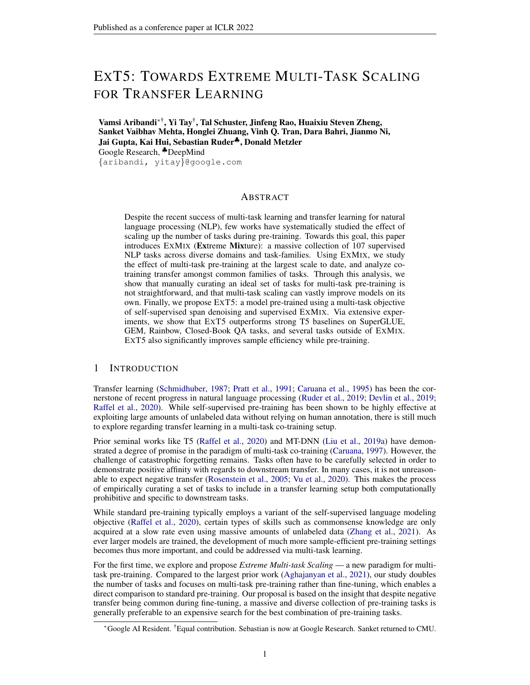# EXT5: TOWARDS EXTREME MULTI-TASK SCALING FOR TRANSFER LEARNING

Vamsi Aribandi∗† , Yi Tay† , Tal Schuster, Jinfeng Rao, Huaixiu Steven Zheng, Sanket Vaibhav Mehta, Honglei Zhuang, Vinh Q. Tran, Dara Bahri, Jianmo Ni, Jai Gupta, Kai Hui, Sebastian Ruder♣, Donald Metzler Google Research, ♣DeepMind {aribandi, yitay}@google.com

## ABSTRACT

Despite the recent success of multi-task learning and transfer learning for natural language processing (NLP), few works have systematically studied the effect of scaling up the number of tasks during pre-training. Towards this goal, this paper introduces EXMIX (Extreme Mixture): a massive collection of 107 supervised NLP tasks across diverse domains and task-families. Using EXMIX, we study the effect of multi-task pre-training at the largest scale to date, and analyze cotraining transfer amongst common families of tasks. Through this analysis, we show that manually curating an ideal set of tasks for multi-task pre-training is not straightforward, and that multi-task scaling can vastly improve models on its own. Finally, we propose EXT5: a model pre-trained using a multi-task objective of self-supervised span denoising and supervised EXMIX. Via extensive experiments, we show that EXT5 outperforms strong T5 baselines on SuperGLUE, GEM, Rainbow, Closed-Book QA tasks, and several tasks outside of EXMIX. EXT5 also significantly improves sample efficiency while pre-training.

#### <span id="page-0-0"></span>1 INTRODUCTION

Transfer learning [\(Schmidhuber,](#page-19-0) [1987;](#page-19-0) [Pratt et al.,](#page-18-0) [1991;](#page-18-0) [Caruana et al.,](#page-11-0) [1995\)](#page-11-0) has been the cornerstone of recent progress in natural language processing [\(Ruder et al.,](#page-18-1) [2019;](#page-18-1) [Devlin et al.,](#page-12-0) [2019;](#page-12-0) [Raffel et al.,](#page-18-2) [2020\)](#page-18-2). While self-supervised pre-training has been shown to be highly effective at exploiting large amounts of unlabeled data without relying on human annotation, there is still much to explore regarding transfer learning in a multi-task co-training setup.

Prior seminal works like T5 [\(Raffel et al.,](#page-18-2) [2020\)](#page-18-2) and MT-DNN [\(Liu et al.,](#page-16-0) [2019a\)](#page-16-0) have demonstrated a degree of promise in the paradigm of multi-task co-training [\(Caruana,](#page-11-1) [1997\)](#page-11-1). However, the challenge of catastrophic forgetting remains. Tasks often have to be carefully selected in order to demonstrate positive affinity with regards to downstream transfer. In many cases, it is not unreasonable to expect negative transfer [\(Rosenstein et al.,](#page-18-3) [2005;](#page-18-3) [Vu et al.,](#page-20-0) [2020\)](#page-20-0). This makes the process of empirically curating a set of tasks to include in a transfer learning setup both computationally prohibitive and specific to downstream tasks.

While standard pre-training typically employs a variant of the self-supervised language modeling objective [\(Raffel et al.,](#page-18-2) [2020\)](#page-18-2), certain types of skills such as commonsense knowledge are only acquired at a slow rate even using massive amounts of unlabeled data [\(Zhang et al.,](#page-22-0) [2021\)](#page-22-0). As ever larger models are trained, the development of much more sample-efficient pre-training settings becomes thus more important, and could be addressed via multi-task learning.

For the first time, we explore and propose *Extreme Multi-task Scaling* — a new paradigm for multitask pre-training. Compared to the largest prior work [\(Aghajanyan et al.,](#page-10-0) [2021\)](#page-10-0), our study doubles the number of tasks and focuses on multi-task pre-training rather than fine-tuning, which enables a direct comparison to standard pre-training. Our proposal is based on the insight that despite negative transfer being common during fine-tuning, a massive and diverse collection of pre-training tasks is generally preferable to an expensive search for the best combination of pre-training tasks.

<sup>∗</sup>Google AI Resident. †Equal contribution. Sebastian is now at Google Research. Sanket returned to CMU.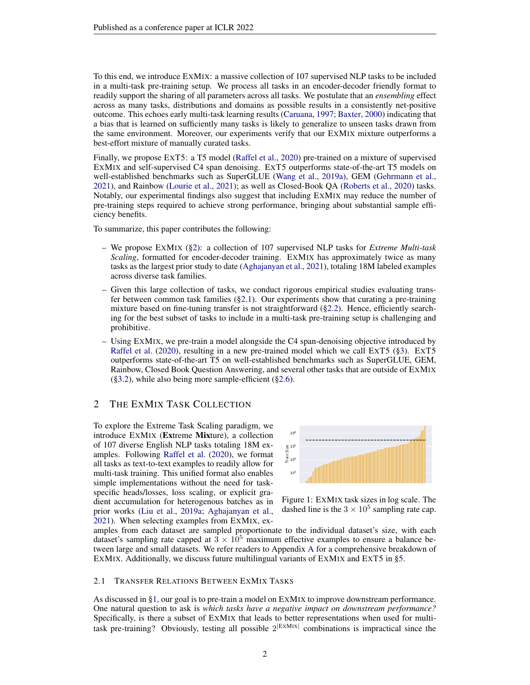To this end, we introduce EXMIX: a massive collection of 107 supervised NLP tasks to be included in a multi-task pre-training setup. We process all tasks in an encoder-decoder friendly format to readily support the sharing of all parameters across all tasks. We postulate that an *ensembling* effect across as many tasks, distributions and domains as possible results in a consistently net-positive outcome. This echoes early multi-task learning results [\(Caruana,](#page-11-1) [1997;](#page-11-1) [Baxter,](#page-10-1) [2000\)](#page-10-1) indicating that a bias that is learned on sufficiently many tasks is likely to generalize to unseen tasks drawn from the same environment. Moreover, our experiments verify that our EXMIX mixture outperforms a best-effort mixture of manually curated tasks.

Finally, we propose EXT5: a T5 model [\(Raffel et al.,](#page-18-2) [2020\)](#page-18-2) pre-trained on a mixture of supervised EXMIX and self-supervised C4 span denoising. EXT5 outperforms state-of-the-art T5 models on well-established benchmarks such as SuperGLUE [\(Wang et al.,](#page-20-1) [2019a\)](#page-20-1), GEM [\(Gehrmann et al.,](#page-13-0) [2021\)](#page-13-0), and Rainbow [\(Lourie et al.,](#page-16-1) [2021\)](#page-16-1); as well as Closed-Book QA [\(Roberts et al.,](#page-18-4) [2020\)](#page-18-4) tasks. Notably, our experimental findings also suggest that including EXMIX may reduce the number of pre-training steps required to achieve strong performance, bringing about substantial sample efficiency benefits.

To summarize, this paper contributes the following:

- We propose EXMIX ([§2\)](#page-1-0): a collection of 107 supervised NLP tasks for *Extreme Multi-task Scaling*, formatted for encoder-decoder training. EXMIX has approximately twice as many tasks as the largest prior study to date [\(Aghajanyan et al.,](#page-10-0) [2021\)](#page-10-0), totaling 18M labeled examples across diverse task families.
- Given this large collection of tasks, we conduct rigorous empirical studies evaluating transfer between common task families  $(\S2.1)$ . Our experiments show that curating a pre-training mixture based on fine-tuning transfer is not straightforward ([§2.2\)](#page-2-0). Hence, efficiently searching for the best subset of tasks to include in a multi-task pre-training setup is challenging and prohibitive.
- Using EXMIX, we pre-train a model alongside the C4 span-denoising objective introduced by [Raffel et al.](#page-18-2) [\(2020\)](#page-18-2), resulting in a new pre-trained model which we call EXT5 ([§3\)](#page-5-0). EXT5 outperforms state-of-the-art T5 on well-established benchmarks such as SuperGLUE, GEM, Rainbow, Closed Book Question Answering, and several other tasks that are outside of EXMIX  $(\S 3.2)$ , while also being more sample-efficient  $(\S 2.6)$ .

# <span id="page-1-0"></span>2 THE EXMIX TASK COLLECTION

To explore the Extreme Task Scaling paradigm, we introduce EXMIX (Extreme Mixture), a collection of 107 diverse English NLP tasks totaling 18M examples. Following [Raffel et al.](#page-18-2) [\(2020\)](#page-18-2), we format all tasks as text-to-text examples to readily allow for multi-task training. This unified format also enables simple implementations without the need for taskspecific heads/losses, loss scaling, or explicit gradient accumulation for heterogenous batches as in prior works [\(Liu et al.,](#page-16-0) [2019a;](#page-16-0) [Aghajanyan et al.,](#page-10-0) [2021\)](#page-10-0). When selecting examples from EXMIX, ex-



Figure 1: EXMIX task sizes in log scale. The dashed line is the  $3 \times 10^5$  sampling rate cap.

amples from each dataset are sampled proportionate to the individual dataset's size, with each dataset's sampling rate capped at  $3 \times 10^5$  maximum effective examples to ensure a balance between large and small datasets. We refer readers to Appendix [A](#page-23-0) for a comprehensive breakdown of EXMIX. Additionally, we discuss future multilingual variants of EXMIX and EXT5 in [§5.](#page-8-0)

#### <span id="page-1-1"></span>2.1 TRANSFER RELATIONS BETWEEN EXMIX TASKS

As discussed in [§1,](#page-0-0) our goal is to pre-train a model on EXMIX to improve downstream performance. One natural question to ask is *which tasks have a negative impact on downstream performance?* Specifically, is there a subset of EXMIX that leads to better representations when used for multitask pre-training? Obviously, testing all possible  $2^{\vert EXMIX \vert}$  combinations is impractical since the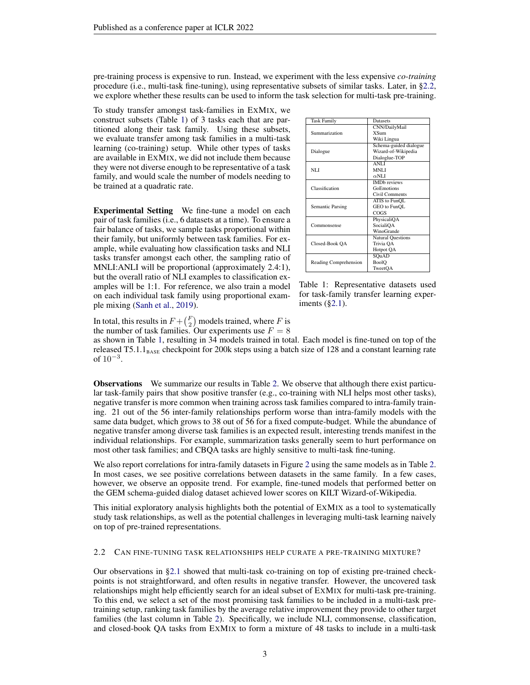pre-training process is expensive to run. Instead, we experiment with the less expensive *co-training* procedure (i.e., multi-task fine-tuning), using representative subsets of similar tasks. Later, in [§2.2,](#page-2-0) we explore whether these results can be used to inform the task selection for multi-task pre-training.

To study transfer amongst task-families in EXMIX, we construct subsets (Table [1\)](#page-2-1) of 3 tasks each that are partitioned along their task family. Using these subsets, we evaluate transfer among task families in a multi-task learning (co-training) setup. While other types of tasks are available in EXMIX, we did not include them because they were not diverse enough to be representative of a task family, and would scale the number of models needing to be trained at a quadratic rate.

Experimental Setting We fine-tune a model on each pair of task families (i.e., 6 datasets at a time). To ensure a fair balance of tasks, we sample tasks proportional within their family, but uniformly between task families. For example, while evaluating how classification tasks and NLI tasks transfer amongst each other, the sampling ratio of MNLI:ANLI will be proportional (approximately 2.4:1), but the overall ratio of NLI examples to classification examples will be 1:1. For reference, we also train a model on each individual task family using proportional example mixing [\(Sanh et al.,](#page-19-1) [2019\)](#page-19-1).

<span id="page-2-1"></span>

| <b>Task Family</b>      | Datasets                 |  |
|-------------------------|--------------------------|--|
|                         | CNN/DailyMail            |  |
| Summarization           | <b>XSum</b>              |  |
|                         | Wiki Lingua              |  |
|                         | Schema-guided dialogue   |  |
| Dialogue                | Wizard-of-Wikipedia      |  |
|                         | Dialoglue-TOP            |  |
|                         | ANLI                     |  |
| NLI                     | <b>MNLI</b>              |  |
|                         | $\alpha$ NLI             |  |
|                         | <b>IMD</b> reviews       |  |
| Classification          | GoEmotions               |  |
|                         | Civil Comments           |  |
|                         | ATIS to FunQL            |  |
| <b>Semantic Parsing</b> | GEO to FunQL             |  |
|                         | COGS                     |  |
|                         | PhysicaliOA              |  |
| Commonsense             | SocialiOA                |  |
|                         | WinoGrande               |  |
|                         | <b>Natural Questions</b> |  |
| Closed-Book QA          | Trivia QA                |  |
|                         | Hotpot QA                |  |
|                         | SQuAD                    |  |
| Reading Comprehension   | BoolO                    |  |
|                         | TweetOA                  |  |

Table 1: Representative datasets used for task-family transfer learning experiments ([§2.1\)](#page-1-1).

In total, this results in  $F + {F \choose 2}$  models trained, where F is

the number of task families. Our experiments use  $F = 8$ 

as shown in Table [1,](#page-2-1) resulting in 34 models trained in total. Each model is fine-tuned on top of the released T5.1.1 $_{\text{BASE}}$  checkpoint for 200k steps using a batch size of 128 and a constant learning rate of  $10^{-3}$ .

Observations We summarize our results in Table [2.](#page-3-0) We observe that although there exist particular task-family pairs that show positive transfer (e.g., co-training with NLI helps most other tasks), negative transfer is more common when training across task families compared to intra-family training. 21 out of the 56 inter-family relationships perform worse than intra-family models with the same data budget, which grows to 38 out of 56 for a fixed compute-budget. While the abundance of negative transfer among diverse task families is an expected result, interesting trends manifest in the individual relationships. For example, summarization tasks generally seem to hurt performance on most other task families; and CBQA tasks are highly sensitive to multi-task fine-tuning.

We also report correlations for intra-family datasets in Figure [2](#page-3-1) using the same models as in Table [2.](#page-3-0) In most cases, we see positive correlations between datasets in the same family. In a few cases, however, we observe an opposite trend. For example, fine-tuned models that performed better on the GEM schema-guided dialog dataset achieved lower scores on KILT Wizard-of-Wikipedia.

This initial exploratory analysis highlights both the potential of EXMIX as a tool to systematically study task relationships, as well as the potential challenges in leveraging multi-task learning naively on top of pre-trained representations.

#### <span id="page-2-0"></span>2.2 CAN FINE-TUNING TASK RELATIONSHIPS HELP CURATE A PRE-TRAINING MIXTURE?

Our observations in [§2.1](#page-1-1) showed that multi-task co-training on top of existing pre-trained checkpoints is not straightforward, and often results in negative transfer. However, the uncovered task relationships might help efficiently search for an ideal subset of EXMIX for multi-task pre-training. To this end, we select a set of the most promising task families to be included in a multi-task pretraining setup, ranking task families by the average relative improvement they provide to other target families (the last column in Table [2\)](#page-3-0). Specifically, we include NLI, commonsense, classification, and closed-book QA tasks from EXMIX to form a mixture of 48 tasks to include in a multi-task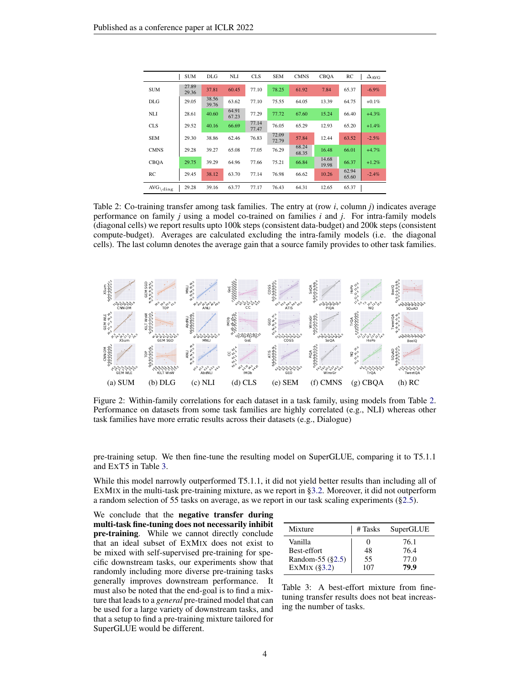<span id="page-3-0"></span>

|                            | <b>SUM</b>     | DLG            | <b>NLI</b>     | <b>CLS</b>     | <b>SEM</b>     | <b>CMNS</b>    | <b>CBOA</b>    | RC             | $\Delta$ <sub>AVG</sub> |
|----------------------------|----------------|----------------|----------------|----------------|----------------|----------------|----------------|----------------|-------------------------|
| <b>SUM</b>                 | 27.89<br>29.36 | 37.81          | 60.45          | 77.10          | 78.25          | 61.92          | 7.84           | 65.37          | $-6.9\%$                |
| <b>DLG</b>                 | 29.05          | 38.56<br>39.76 | 63.62          | 77.10          | 75.55          | 64.05          | 13.39          | 64.75          | $+0.1%$                 |
| <b>NLI</b>                 | 28.61          | 40.60          | 64.91<br>67.23 | 77.29          | 77.72          | 67.60          | 15.24          | 66.40          | $+4.3%$                 |
| <b>CLS</b>                 | 29.52          | 40.16          | 66.69          | 77.14<br>77.47 | 76.05          | 65.29          | 12.93          | 65.20          | $+1.4%$                 |
| <b>SEM</b>                 | 29.30          | 38.86          | 62.46          | 76.83          | 72.09<br>72.79 | 57.84          | 12.44          | 63.52          | $-2.5%$                 |
| <b>CMNS</b>                | 29.28          | 39.27          | 65.08          | 77.05          | 76.29          | 68.24<br>68.35 | 16.48          | 66.01          | $+4.7%$                 |
| <b>CBOA</b>                | 29.75          | 39.29          | 64.96          | 77.66          | 75.21          | 66.84          | 14.68<br>19.98 | 66.37          | $+1.2%$                 |
| RC                         | 29.45          | 38.12          | 63.70          | 77.14          | 76.98          | 66.62          | 10.26          | 62.94<br>65.60 | $-2.4%$                 |
| $\text{AVG}_{\text{diag}}$ | 29.28          | 39.16          | 63.77          | 77.17          | 76.43          | 64.31          | 12.65          | 65.37          |                         |

Table 2: Co-training transfer among task families. The entry at (row *i*, column *j*) indicates average performance on family *j* using a model co-trained on families *i* and *j*. For intra-family models (diagonal cells) we report results upto 100k steps (consistent data-budget) and 200k steps (consistent compute-budget). Averages are calculated excluding the intra-family models (i.e. the diagonal cells). The last column denotes the average gain that a source family provides to other task families.

<span id="page-3-1"></span>

Figure 2: Within-family correlations for each dataset in a task family, using models from Table [2.](#page-3-0) Performance on datasets from some task families are highly correlated (e.g., NLI) whereas other task families have more erratic results across their datasets (e.g., Dialogue)

pre-training setup. We then fine-tune the resulting model on SuperGLUE, comparing it to T5.1.1 and EXT5 in Table [3.](#page-3-2)

While this model narrowly outperformed T5.1.1, it did not yield better results than including all of EXMIX in the multi-task pre-training mixture, as we report in [§3.2.](#page-5-1) Moreover, it did not outperform a random selection of 55 tasks on average, as we report in our task scaling experiments ([§2.5\)](#page-4-0).

We conclude that the **negative transfer during** multi-task fine-tuning does not necessarily inhibit pre-training. While we cannot directly conclude that an ideal subset of EXMIX does not exist to be mixed with self-supervised pre-training for specific downstream tasks, our experiments show that randomly including more diverse pre-training tasks generally improves downstream performance. It must also be noted that the end-goal is to find a mixture that leads to a *general* pre-trained model that can be used for a large variety of downstream tasks, and that a setup to find a pre-training mixture tailored for SuperGLUE would be different.

<span id="page-3-2"></span>

| Mixture             | # Tasks | SuperGLUE |
|---------------------|---------|-----------|
| Vanilla             |         | 76.1      |
| Best-effort         | 48      | 76.4      |
| Random-55 $(\S2.5)$ | 55      | 77.0      |
| EXMIX $(\S 3.2)$    | 107     | 79.9      |

Table 3: A best-effort mixture from finetuning transfer results does not beat increasing the number of tasks.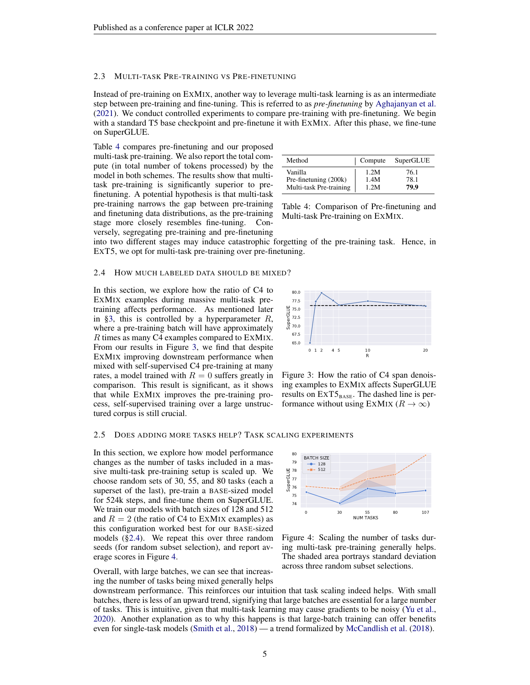#### <span id="page-4-5"></span>2.3 MULTI-TASK PRE-TRAINING VS PRE-FINETUNING

Instead of pre-training on EXMIX, another way to leverage multi-task learning is as an intermediate step between pre-training and fine-tuning. This is referred to as *pre-finetuning* by [Aghajanyan et al.](#page-10-0) [\(2021\)](#page-10-0). We conduct controlled experiments to compare pre-training with pre-finetuning. We begin with a standard T5 base checkpoint and pre-finetune it with EXMIX. After this phase, we fine-tune on SuperGLUE.

Table [4](#page-4-1) compares pre-finetuning and our proposed multi-task pre-training. We also report the total compute (in total number of tokens processed) by the model in both schemes. The results show that multitask pre-training is significantly superior to prefinetuning. A potential hypothesis is that multi-task pre-training narrows the gap between pre-training and finetuning data distributions, as the pre-training stage more closely resembles fine-tuning. Conversely, segregating pre-training and pre-finetuning

<span id="page-4-1"></span>

| Method                  | Compute | SuperGLUE |
|-------------------------|---------|-----------|
| Vanilla                 | 1.2M    | 76.1      |
| Pre-finetuning (200k)   | 1.4M    | 78.1      |
| Multi-task Pre-training | 1.2M    | 79.9      |

Table 4: Comparison of Pre-finetuning and Multi-task Pre-training on EXMIX.

into two different stages may induce catastrophic forgetting of the pre-training task. Hence, in EXT5, we opt for multi-task pre-training over pre-finetuning.

#### <span id="page-4-3"></span>2.4 HOW MUCH LABELED DATA SHOULD BE MIXED?

In this section, we explore how the ratio of C4 to EXMIX examples during massive multi-task pretraining affects performance. As mentioned later in [§3,](#page-5-0) this is controlled by a hyperparameter  $R$ , where a pre-training batch will have approximately R times as many C4 examples compared to EXMIX. From our results in Figure [3,](#page-4-2) we find that despite EXMIX improving downstream performance when mixed with self-supervised C4 pre-training at many rates, a model trained with  $R = 0$  suffers greatly in comparison. This result is significant, as it shows that while EXMIX improves the pre-training process, self-supervised training over a large unstructured corpus is still crucial.

<span id="page-4-2"></span>

Figure 3: How the ratio of C4 span denoising examples to EXMIX affects SuperGLUE results on  $\text{ExT5}_{\text{BASE}}$ . The dashed line is performance without using EXMIX ( $R \to \infty$ )

#### <span id="page-4-0"></span>2.5 DOES ADDING MORE TASKS HELP? TASK SCALING EXPERIMENTS

In this section, we explore how model performance changes as the number of tasks included in a massive multi-task pre-training setup is scaled up. We choose random sets of 30, 55, and 80 tasks (each a superset of the last), pre-train a BASE-sized model for 524k steps, and fine-tune them on SuperGLUE. We train our models with batch sizes of 128 and 512 and  $R = 2$  (the ratio of C4 to EXMIX examples) as this configuration worked best for our BASE-sized models ([§2.4\)](#page-4-3). We repeat this over three random seeds (for random subset selection), and report average scores in Figure [4.](#page-4-4)

Overall, with large batches, we can see that increasing the number of tasks being mixed generally helps

<span id="page-4-4"></span>

Figure 4: Scaling the number of tasks during multi-task pre-training generally helps. The shaded area portrays standard deviation across three random subset selections.

downstream performance. This reinforces our intuition that task scaling indeed helps. With small batches, there is less of an upward trend, signifying that large batches are essential for a large number of tasks. This is intuitive, given that multi-task learning may cause gradients to be noisy [\(Yu et al.,](#page-21-0) [2020\)](#page-21-0). Another explanation as to why this happens is that large-batch training can offer benefits even for single-task models [\(Smith et al.,](#page-19-2) [2018\)](#page-19-2) — a trend formalized by [McCandlish et al.](#page-17-0) [\(2018\)](#page-17-0).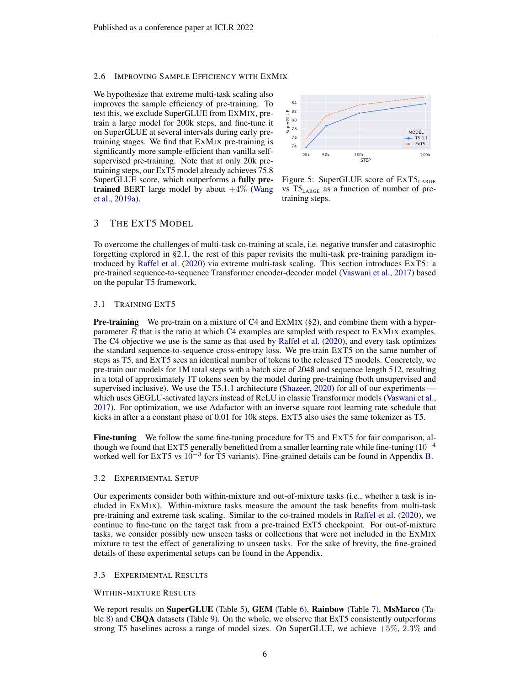#### <span id="page-5-2"></span>2.6 IMPROVING SAMPLE EFFICIENCY WITH EXMIX

We hypothesize that extreme multi-task scaling also improves the sample efficiency of pre-training. To test this, we exclude SuperGLUE from EXMIX, pretrain a large model for 200k steps, and fine-tune it on SuperGLUE at several intervals during early pretraining stages. We find that EXMIX pre-training is significantly more sample-efficient than vanilla selfsupervised pre-training. Note that at only 20k pretraining steps, our ExT5 model already achieves 75.8 SuperGLUE score, which outperforms a fully pretrained BERT large model by about  $+4\%$  [\(Wang](#page-20-1) [et al.,](#page-20-1) [2019a\)](#page-20-1).



Figure 5: SuperGLUE score of  $\text{EXT}5_{\text{LARGE}}$ vs T5LARGE as a function of number of pretraining steps.

# <span id="page-5-0"></span>3 THE EXT5 MODEL

To overcome the challenges of multi-task co-training at scale, i.e. negative transfer and catastrophic forgetting explored in [§2.1,](#page-1-1) the rest of this paper revisits the multi-task pre-training paradigm introduced by [Raffel et al.](#page-18-2) [\(2020\)](#page-18-2) via extreme multi-task scaling. This section introduces EXT5: a pre-trained sequence-to-sequence Transformer encoder-decoder model [\(Vaswani et al.,](#page-20-2) [2017\)](#page-20-2) based on the popular T5 framework.

#### 3.1 TRAINING EXT5

**Pre-training** We pre-train on a mixture of C4 and EXMIX  $(\S 2)$ , and combine them with a hyperparameter  $R$  that is the ratio at which C4 examples are sampled with respect to  $EXMIX$  examples. The C4 objective we use is the same as that used by [Raffel et al.](#page-18-2) [\(2020\)](#page-18-2), and every task optimizes the standard sequence-to-sequence cross-entropy loss. We pre-train EXT5 on the same number of steps as T5, and EXT5 sees an identical number of tokens to the released T5 models. Concretely, we pre-train our models for 1M total steps with a batch size of 2048 and sequence length 512, resulting in a total of approximately 1T tokens seen by the model during pre-training (both unsupervised and supervised inclusive). We use the T5.1.1 architecture [\(Shazeer,](#page-19-3) [2020\)](#page-19-3) for all of our experiments which uses GEGLU-activated layers instead of ReLU in classic Transformer models [\(Vaswani et al.,](#page-20-2) [2017\)](#page-20-2). For optimization, we use Adafactor with an inverse square root learning rate schedule that kicks in after a a constant phase of 0.01 for 10k steps. EXT5 also uses the same tokenizer as T5.

Fine-tuning We follow the same fine-tuning procedure for T5 and ExT5 for fair comparison, although we found that EXT5 generally benefitted from a smaller learning rate while fine-tuning  $(10^{-4}$ worked well for EXT5 vs  $10^{-3}$  for T5 variants). Fine-grained details can be found in Appendix [B.](#page-24-0)

#### <span id="page-5-1"></span>3.2 EXPERIMENTAL SETUP

Our experiments consider both within-mixture and out-of-mixture tasks (i.e., whether a task is included in EXMIX). Within-mixture tasks measure the amount the task benefits from multi-task pre-training and extreme task scaling. Similar to the co-trained models in [Raffel et al.](#page-18-2) [\(2020\)](#page-18-2), we continue to fine-tune on the target task from a pre-trained ExT5 checkpoint. For out-of-mixture tasks, we consider possibly new unseen tasks or collections that were not included in the EXMIX mixture to test the effect of generalizing to unseen tasks. For the sake of brevity, the fine-grained details of these experimental setups can be found in the Appendix.

#### 3.3 EXPERIMENTAL RESULTS

#### WITHIN-MIXTURE RESULTS

We report results on SuperGLUE (Table [5\)](#page-6-0), GEM (Table [6\)](#page-6-1), Rainbow (Table [7\)](#page-6-2), MsMarco (Ta-ble [8\)](#page-6-3) and **CBQA** datasets (Table [9\)](#page-6-4). On the whole, we observe that ExT5 consistently outperforms strong T5 baselines across a range of model sizes. On SuperGLUE, we achieve +5%, 2.3% and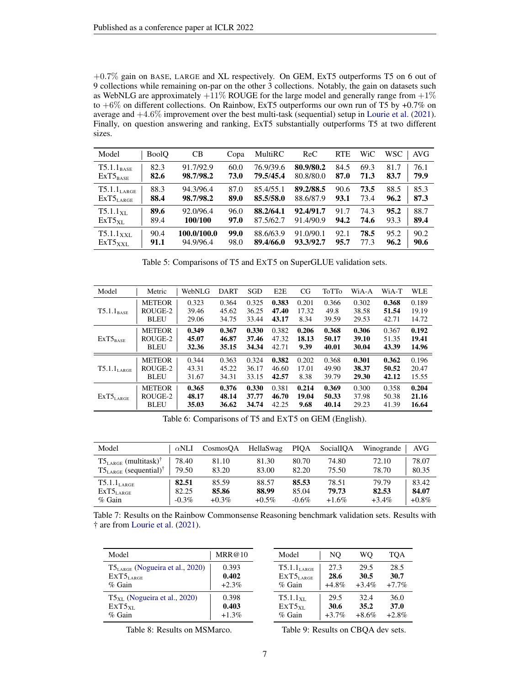+0.7% gain on BASE, LARGE and XL respectively. On GEM, ExT5 outperforms T5 on 6 out of 9 collections while remaining on-par on the other 3 collections. Notably, the gain on datasets such as WebNLG are approximately  $+11\%$  ROUGE for the large model and generally range from  $+1\%$ to  $+6\%$  on different collections. On Rainbow, ExT5 outperforms our own run of T5 by  $+0.7\%$  on average and  $+4.6\%$  improvement over the best multi-task (sequential) setup in [Lourie et al.](#page-16-1) [\(2021\)](#page-16-1). Finally, on question answering and ranking, ExT5 substantially outperforms T5 at two different sizes.

<span id="page-6-0"></span>

| Model                            | <b>BoolO</b> | <b>CB</b>   | Copa | MultiRC   | ReC       | <b>RTE</b> | WiC  | <b>WSC</b> | AVG  |
|----------------------------------|--------------|-------------|------|-----------|-----------|------------|------|------------|------|
| $T5.1.1_{BASE}$                  | 82.3         | 91.7/92.9   | 60.0 | 76.9/39.6 | 80.9/80.2 | 84.5       | 69.3 | 81.7       | 76.1 |
| $ExT5_{Base}$                    | 82.6         | 98.7/98.2   | 73.0 | 79.5/45.4 | 80.8/80.0 | 87.0       | 71.3 | 83.7       | 79.9 |
| $T5.1.1_{LARGE}$                 | 88.3         | 94.3/96.4   | 87.0 | 85.4/55.1 | 89.2/88.5 | 90.6       | 73.5 | 88.5       | 85.3 |
| $\mathrm{ExT5}_{\mathrm{LARGE}}$ | 88.4         | 98.7/98.2   | 89.0 | 85.5/58.0 | 88.6/87.9 | 93.1       | 73.4 | 96.2       | 87.3 |
| $T5.1.1_{\text{YL}}$             | 89.6         | 92.0/96.4   | 96.0 | 88.2/64.1 | 92.4/91.7 | 91.7       | 74.3 | 95.2       | 88.7 |
| $ExT5_{\rm{XI}}$                 | 89.4         | 100/100     | 97.0 | 87.5/62.7 | 91.4/90.9 | 94.2       | 74.6 | 93.3       | 89.4 |
| $T5.1.1_{\text{XXL}}$            | 90.4         | 100.0/100.0 | 99.0 | 88.6/63.9 | 91.0/90.1 | 92.1       | 78.5 | 95.2       | 90.2 |
| $ExT5_{XXL}$                     | 91.1         | 94.9/96.4   | 98.0 | 89.4/66.0 | 93.3/92.7 | 95.7       | 77.3 | 96.2       | 90.6 |

|  |  | Table 5: Comparisons of T5 and ExT5 on SuperGLUE validation sets. |
|--|--|-------------------------------------------------------------------|
|  |  |                                                                   |

<span id="page-6-1"></span>

| Model                   | Metric        | WebNLG | <b>DART</b> | SGD   | E2E   | CG    | ToTTo | WiA-A | WiA-T | <b>WLE</b> |
|-------------------------|---------------|--------|-------------|-------|-------|-------|-------|-------|-------|------------|
| $T5.1.1_{BASE}$         | <b>METEOR</b> | 0.323  | 0.364       | 0.325 | 0.383 | 0.201 | 0.366 | 0.302 | 0.368 | 0.189      |
|                         | ROUGE-2       | 39.46  | 45.62       | 36.25 | 47.40 | 17.32 | 49.8  | 38.58 | 51.54 | 19.19      |
|                         | <b>BLEU</b>   | 29.06  | 34.75       | 33.44 | 43.17 | 8.34  | 39.59 | 29.53 | 42.71 | 14.72      |
| $ExT5_{BASE}$           | <b>METEOR</b> | 0.349  | 0.367       | 0.330 | 0.382 | 0.206 | 0.368 | 0.306 | 0.367 | 0.192      |
|                         | ROUGE-2       | 45.07  | 46.87       | 37.46 | 47.32 | 18.13 | 50.17 | 39.10 | 51.35 | 19.41      |
|                         | <b>BLEU</b>   | 32.36  | 35.15       | 34.34 | 42.71 | 9.39  | 40.01 | 30.04 | 43.39 | 14.96      |
| $T5.1.1_{\text{LARGE}}$ | <b>METEOR</b> | 0.344  | 0.363       | 0.324 | 0.382 | 0.202 | 0.368 | 0.301 | 0.362 | 0.196      |
|                         | ROUGE-2       | 43.31  | 45.22       | 36.17 | 46.60 | 17.01 | 49.90 | 38.37 | 50.52 | 20.47      |
|                         | <b>BLEU</b>   | 31.67  | 34.31       | 33.15 | 42.57 | 8.38  | 39.79 | 29.30 | 42.12 | 15.55      |
| $ExT5_{LARGE}$          | <b>METEOR</b> | 0.365  | 0.376       | 0.330 | 0.381 | 0.214 | 0.369 | 0.300 | 0.358 | 0.204      |
|                         | ROUGE-2       | 48.17  | 48.14       | 37.77 | 46.70 | 19.04 | 50.33 | 37.98 | 50.38 | 21.16      |
|                         | <b>BLEU</b>   | 35.03  | 36.62       | 34.74 | 42.25 | 9.68  | 40.14 | 29.23 | 41.39 | 16.64      |

Table 6: Comparisons of T5 and EXT5 on GEM (English).

<span id="page-6-2"></span>

| Model                                  | $\alpha$ NLI | CosmosOA | HellaSwag | <b>PIOA</b> | SocialIOA | Winogrande<br>AVG    |
|----------------------------------------|--------------|----------|-----------|-------------|-----------|----------------------|
| $T5_{LARGE}$ (multitask) <sup>†</sup>  | 78.40        | 81.10    | 81.30     | 80.70       | 74.80     | 78.07<br>72.10       |
| $T5_{LARGE}$ (sequential) <sup>†</sup> | 79.50        | 83.20    | 83.00     | 82.20       | 75.50     | 80.35<br>78.70       |
| $T5.1.1_{\rm LARGE}$                   | 82.51        | 85.59    | 88.57     | 85.53       | 78.51     | 79.79<br>83.42       |
| $\rm ExT5_{\rm LARGE}$                 | 82.25        | 85.86    | 88.99     | 85.04       | 79.73     | 84.07<br>82.53       |
| $%$ Gain                               | $-0.3\%$     | $+0.3\%$ | $+0.5\%$  | $-0.6\%$    | $+1.6%$   | $+0.8\%$<br>$+3.4\%$ |

Table 7: Results on the Rainbow Commonsense Reasoning benchmark validation sets. Results with † are from [Lourie et al.](#page-16-1) [\(2021\)](#page-16-1).

<span id="page-6-3"></span>

| Model                                 | MRR@10   |
|---------------------------------------|----------|
| $T5_{LARGE}$ (Nogueira et al., 2020)  | 0.393    |
| EXT5 <sub>LARGE</sub>                 | 0.402    |
| $\%$ Gain                             | $+2.3%$  |
| $T5_{\rm XI}$ (Nogueira et al., 2020) | 0.398    |
| EXT5xL                                | 0.403    |
| $\%$ Gain                             | $+1.3\%$ |

<span id="page-6-4"></span>

| Model                   | NO       | WО       | TOA      |
|-------------------------|----------|----------|----------|
| T5.1.1 <sub>LARGE</sub> | 27.3     | 29.5     | 28.5     |
| EXT5LARGE               | 28.6     | 30.5     | 30.7     |
| $%$ Gain                | $+4.8\%$ | $+3.4\%$ | $+7.7%$  |
| $T5.1.1_{\text{XL}}$    | 29.5     | 32.4     | 36.0     |
| $EXT5_{XL}$             | 30.6     | 35.2     | 37.0     |
| $%$ Gain                | $+3.7%$  | $+8.6%$  | $+2.8\%$ |

Table 8: Results on MSMarco.

Table 9: Results on CBQA dev sets.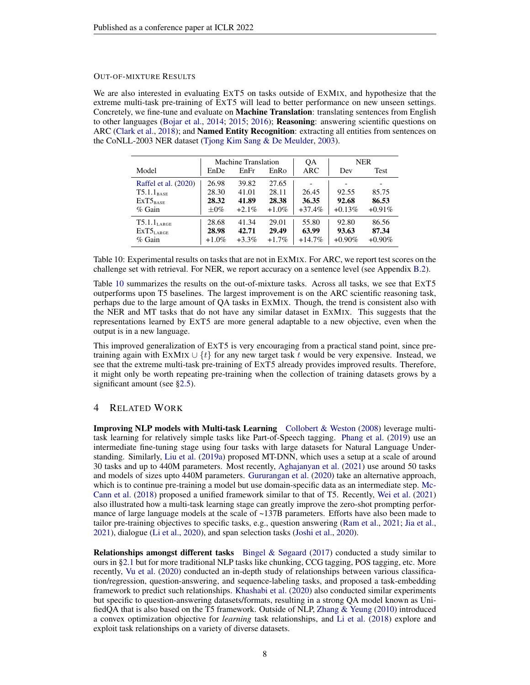#### OUT-OF-MIXTURE RESULTS

We are also interested in evaluating EXT5 on tasks outside of EXMIX, and hypothesize that the extreme multi-task pre-training of EXT5 will lead to better performance on new unseen settings. Concretely, we fine-tune and evaluate on Machine Translation: translating sentences from English to other languages [\(Bojar et al.,](#page-11-2) [2014;](#page-11-2) [2015;](#page-11-3) [2016\)](#page-11-4); Reasoning: answering scientific questions on ARC [\(Clark et al.,](#page-12-1) [2018\)](#page-12-1); and **Named Entity Recognition**: extracting all entities from sentences on the CoNLL-2003 NER dataset [\(Tjong Kim Sang & De Meulder,](#page-20-3) [2003\)](#page-20-3).

<span id="page-7-0"></span>

|                      |           | Machine Translation |          | QA       | <b>NER</b> |           |  |
|----------------------|-----------|---------------------|----------|----------|------------|-----------|--|
| Model                | EnDe      | EnFr                | EnRo     | ARC      | Dev        | Test      |  |
| Raffel et al. (2020) | 26.98     | 39.82               | 27.65    |          |            |           |  |
| $T5.1.1_{BASE}$      | 28.30     | 41.01               | 28.11    | 26.45    | 92.55      | 85.75     |  |
| $ExT5_{Base}$        | 28.32     | 41.89               | 28.38    | 36.35    | 92.68      | 86.53     |  |
| $\%$ Gain            | $\pm 0\%$ | $+2.1\%$            | $+1.0\%$ | $+37.4%$ | $+0.13%$   | $+0.91%$  |  |
| $T5.1.1_{LARGE}$     | 28.68     | 41.34               | 29.01    | 55.80    | 92.80      | 86.56     |  |
| $ExT5_{LARGE}$       | 28.98     | 42.71               | 29.49    | 63.99    | 93.63      | 87.34     |  |
| $\%$ Gain            | $+1.0\%$  | $+3.3\%$            | $+1.7%$  | $+14.7%$ | $+0.90\%$  | $+0.90\%$ |  |

Table 10: Experimental results on tasks that are not in EXMIX. For ARC, we report test scores on the challenge set with retrieval. For NER, we report accuracy on a sentence level (see Appendix [B.2\)](#page-24-1).

Table [10](#page-7-0) summarizes the results on the out-of-mixture tasks. Across all tasks, we see that EXT5 outperforms upon T5 baselines. The largest improvement is on the ARC scientific reasoning task, perhaps due to the large amount of QA tasks in EXMIX. Though, the trend is consistent also with the NER and MT tasks that do not have any similar dataset in EXMIX. This suggests that the representations learned by EXT5 are more general adaptable to a new objective, even when the output is in a new language.

This improved generalization of EXT5 is very encouraging from a practical stand point, since pretraining again with EXMIX  $\cup \{t\}$  for any new target task t would be very expensive. Instead, we see that the extreme multi-task pre-training of EXT5 already provides improved results. Therefore, it might only be worth repeating pre-training when the collection of training datasets grows by a significant amount (see [§2.5\)](#page-4-0).

# 4 RELATED WORK

Improving NLP models with Multi-task Learning [Collobert & Weston](#page-12-2) [\(2008\)](#page-12-2) leverage multitask learning for relatively simple tasks like Part-of-Speech tagging. [Phang et al.](#page-17-2) [\(2019\)](#page-17-2) use an intermediate fine-tuning stage using four tasks with large datasets for Natural Language Understanding. Similarly, [Liu et al.](#page-16-0) [\(2019a\)](#page-16-0) proposed MT-DNN, which uses a setup at a scale of around 30 tasks and up to 440M parameters. Most recently, [Aghajanyan et al.](#page-10-0) [\(2021\)](#page-10-0) use around 50 tasks and models of sizes upto 440M parameters. [Gururangan et al.](#page-14-0) [\(2020\)](#page-14-0) take an alternative approach, which is to continue pre-training a model but use domain-specific data as an intermediate step. [Mc-](#page-17-3)[Cann et al.](#page-17-3) [\(2018\)](#page-17-3) proposed a unified framework similar to that of T5. Recently, [Wei et al.](#page-21-1) [\(2021\)](#page-21-1) also illustrated how a multi-task learning stage can greatly improve the zero-shot prompting performance of large language models at the scale of ~137B parameters. Efforts have also been made to tailor pre-training objectives to specific tasks, e.g., question answering [\(Ram et al.,](#page-18-5) [2021;](#page-18-5) [Jia et al.,](#page-14-1) [2021\)](#page-14-1), dialogue [\(Li et al.,](#page-16-2) [2020\)](#page-16-2), and span selection tasks [\(Joshi et al.,](#page-15-0) [2020\)](#page-15-0).

**Relationships amongst different tasks** [Bingel & Søgaard](#page-11-5) [\(2017\)](#page-11-5) conducted a study similar to ours in [§2.1](#page-1-1) but for more traditional NLP tasks like chunking, CCG tagging, POS tagging, etc. More recently, [Vu et al.](#page-20-0) [\(2020\)](#page-20-0) conducted an in-depth study of relationships between various classification/regression, question-answering, and sequence-labeling tasks, and proposed a task-embedding framework to predict such relationships. [Khashabi et al.](#page-15-1) [\(2020\)](#page-15-1) also conducted similar experiments but specific to question-answering datasets/formats, resulting in a strong QA model known as UnifiedQA that is also based on the T5 framework. Outside of NLP, [Zhang & Yeung](#page-22-1) [\(2010\)](#page-22-1) introduced a convex optimization objective for *learning* task relationships, and [Li et al.](#page-16-3) [\(2018\)](#page-16-3) explore and exploit task relationships on a variety of diverse datasets.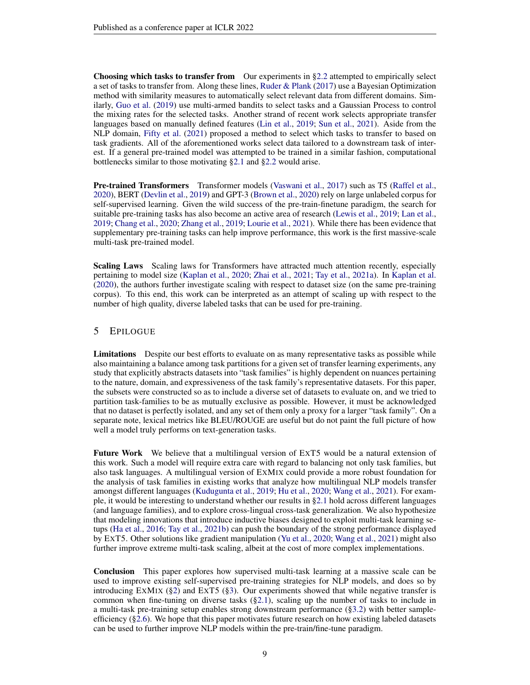Choosing which tasks to transfer from Our experiments in [§2.2](#page-2-0) attempted to empirically select a set of tasks to transfer from. Along these lines, [Ruder & Plank](#page-18-6) [\(2017\)](#page-18-6) use a Bayesian Optimization method with similarity measures to automatically select relevant data from different domains. Similarly, [Guo et al.](#page-14-2) [\(2019\)](#page-14-2) use multi-armed bandits to select tasks and a Gaussian Process to control the mixing rates for the selected tasks. Another strand of recent work selects appropriate transfer languages based on manually defined features [\(Lin et al.,](#page-16-4) [2019;](#page-16-4) [Sun et al.,](#page-20-4) [2021\)](#page-20-4). Aside from the NLP domain, [Fifty et al.](#page-13-1) [\(2021\)](#page-13-1) proposed a method to select which tasks to transfer to based on task gradients. All of the aforementioned works select data tailored to a downstream task of interest. If a general pre-trained model was attempted to be trained in a similar fashion, computational bottlenecks similar to those motivating [§2.1](#page-1-1) and [§2.2](#page-2-0) would arise.

Pre-trained Transformers Transformer models [\(Vaswani et al.,](#page-20-2) [2017\)](#page-20-2) such as T5 [\(Raffel et al.,](#page-18-2) [2020\)](#page-18-2), BERT [\(Devlin et al.,](#page-12-0) [2019\)](#page-12-0) and GPT-3 [\(Brown et al.,](#page-11-6) [2020\)](#page-11-6) rely on large unlabeled corpus for self-supervised learning. Given the wild success of the pre-train-finetune paradigm, the search for suitable pre-training tasks has also become an active area of research [\(Lewis et al.,](#page-16-5) [2019;](#page-16-5) [Lan et al.,](#page-15-2) [2019;](#page-15-2) [Chang et al.,](#page-12-3) [2020;](#page-12-3) [Zhang et al.,](#page-22-2) [2019;](#page-22-2) [Lourie et al.,](#page-16-1) [2021\)](#page-16-1). While there has been evidence that supplementary pre-training tasks can help improve performance, this work is the first massive-scale multi-task pre-trained model.

Scaling Laws Scaling laws for Transformers have attracted much attention recently, especially pertaining to model size [\(Kaplan et al.,](#page-15-3) [2020;](#page-15-3) [Zhai et al.,](#page-21-2) [2021;](#page-21-2) [Tay et al.,](#page-20-5) [2021a\)](#page-20-5). In [Kaplan et al.](#page-15-3) [\(2020\)](#page-15-3), the authors further investigate scaling with respect to dataset size (on the same pre-training corpus). To this end, this work can be interpreted as an attempt of scaling up with respect to the number of high quality, diverse labeled tasks that can be used for pre-training.

# 5 EPILOGUE

Limitations Despite our best efforts to evaluate on as many representative tasks as possible while also maintaining a balance among task partitions for a given set of transfer learning experiments, any study that explicitly abstracts datasets into "task families" is highly dependent on nuances pertaining to the nature, domain, and expressiveness of the task family's representative datasets. For this paper, the subsets were constructed so as to include a diverse set of datasets to evaluate on, and we tried to partition task-families to be as mutually exclusive as possible. However, it must be acknowledged that no dataset is perfectly isolated, and any set of them only a proxy for a larger "task family". On a separate note, lexical metrics like BLEU/ROUGE are useful but do not paint the full picture of how well a model truly performs on text-generation tasks.

<span id="page-8-0"></span>Future Work We believe that a multilingual version of EXT5 would be a natural extension of this work. Such a model will require extra care with regard to balancing not only task families, but also task languages. A multilingual version of EXMIX could provide a more robust foundation for the analysis of task families in existing works that analyze how multilingual NLP models transfer amongst different languages [\(Kudugunta et al.,](#page-15-4) [2019;](#page-15-4) [Hu et al.,](#page-14-3) [2020;](#page-14-3) [Wang et al.,](#page-20-6) [2021\)](#page-20-6). For example, it would be interesting to understand whether our results in [§2.1](#page-1-1) hold across different languages (and language families), and to explore cross-lingual cross-task generalization. We also hypothesize that modeling innovations that introduce inductive biases designed to exploit multi-task learning setups [\(Ha et al.,](#page-14-4) [2016;](#page-14-4) [Tay et al.,](#page-20-7) [2021b\)](#page-20-7) can push the boundary of the strong performance displayed by EXT5. Other solutions like gradient manipulation [\(Yu et al.,](#page-21-0) [2020;](#page-21-0) [Wang et al.,](#page-20-6) [2021\)](#page-20-6) might also further improve extreme multi-task scaling, albeit at the cost of more complex implementations.

Conclusion This paper explores how supervised multi-task learning at a massive scale can be used to improve existing self-supervised pre-training strategies for NLP models, and does so by introducing EXMIX ( $\S$ 2) and EXT5 ( $\S$ 3). Our experiments showed that while negative transfer is common when fine-tuning on diverse tasks ([§2.1\)](#page-1-1), scaling up the number of tasks to include in a multi-task pre-training setup enables strong downstream performance ([§3.2\)](#page-5-1) with better sampleefficiency ([§2.6\)](#page-5-2). We hope that this paper motivates future research on how existing labeled datasets can be used to further improve NLP models within the pre-train/fine-tune paradigm.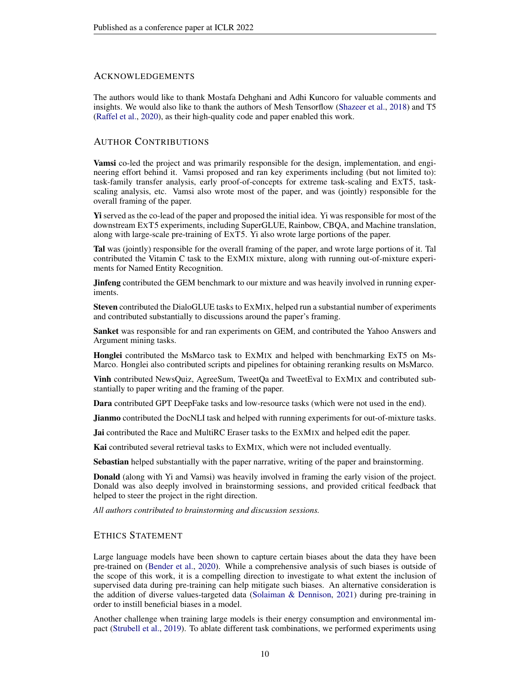## ACKNOWLEDGEMENTS

The authors would like to thank Mostafa Dehghani and Adhi Kuncoro for valuable comments and insights. We would also like to thank the authors of Mesh Tensorflow [\(Shazeer et al.,](#page-19-4) [2018\)](#page-19-4) and T5 [\(Raffel et al.,](#page-18-2) [2020\)](#page-18-2), as their high-quality code and paper enabled this work.

# AUTHOR CONTRIBUTIONS

Vamsi co-led the project and was primarily responsible for the design, implementation, and engineering effort behind it. Vamsi proposed and ran key experiments including (but not limited to): task-family transfer analysis, early proof-of-concepts for extreme task-scaling and EXT5, taskscaling analysis, etc. Vamsi also wrote most of the paper, and was (jointly) responsible for the overall framing of the paper.

Yi served as the co-lead of the paper and proposed the initial idea. Yi was responsible for most of the downstream EXT5 experiments, including SuperGLUE, Rainbow, CBQA, and Machine translation, along with large-scale pre-training of EXT5. Yi also wrote large portions of the paper.

Tal was (jointly) responsible for the overall framing of the paper, and wrote large portions of it. Tal contributed the Vitamin C task to the EXMIX mixture, along with running out-of-mixture experiments for Named Entity Recognition.

**Jinfeng** contributed the GEM benchmark to our mixture and was heavily involved in running experiments.

Steven contributed the DialoGLUE tasks to EXMIX, helped run a substantial number of experiments and contributed substantially to discussions around the paper's framing.

Sanket was responsible for and ran experiments on GEM, and contributed the Yahoo Answers and Argument mining tasks.

Honglei contributed the MsMarco task to EXMIX and helped with benchmarking ExT5 on Ms-Marco. Honglei also contributed scripts and pipelines for obtaining reranking results on MsMarco.

Vinh contributed NewsQuiz, AgreeSum, TweetQa and TweetEval to EXMIX and contributed substantially to paper writing and the framing of the paper.

Dara contributed GPT DeepFake tasks and low-resource tasks (which were not used in the end).

Jianmo contributed the DocNLI task and helped with running experiments for out-of-mixture tasks.

Jai contributed the Race and MultiRC Eraser tasks to the EXMIX and helped edit the paper.

Kai contributed several retrieval tasks to EXMIX, which were not included eventually.

Sebastian helped substantially with the paper narrative, writing of the paper and brainstorming.

Donald (along with Yi and Vamsi) was heavily involved in framing the early vision of the project. Donald was also deeply involved in brainstorming sessions, and provided critical feedback that helped to steer the project in the right direction.

*All authors contributed to brainstorming and discussion sessions.*

## ETHICS STATEMENT

Large language models have been shown to capture certain biases about the data they have been pre-trained on [\(Bender et al.,](#page-10-2) [2020\)](#page-10-2). While a comprehensive analysis of such biases is outside of the scope of this work, it is a compelling direction to investigate to what extent the inclusion of supervised data during pre-training can help mitigate such biases. An alternative consideration is the addition of diverse values-targeted data [\(Solaiman & Dennison,](#page-19-5) [2021\)](#page-19-5) during pre-training in order to instill beneficial biases in a model.

Another challenge when training large models is their energy consumption and environmental impact [\(Strubell et al.,](#page-19-6) [2019\)](#page-19-6). To ablate different task combinations, we performed experiments using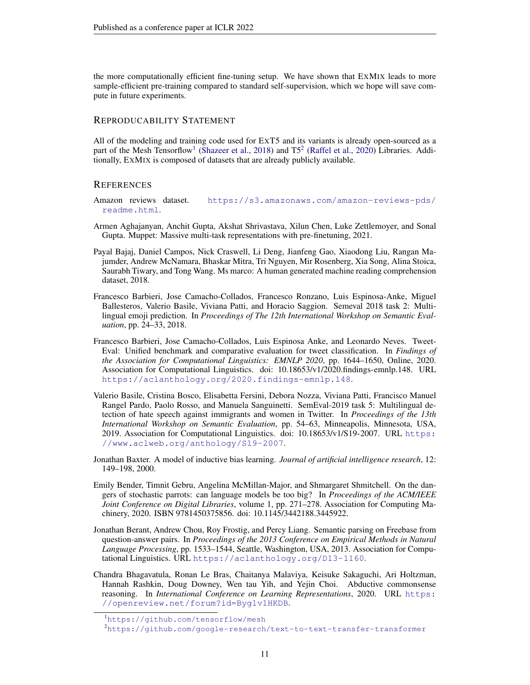the more computationally efficient fine-tuning setup. We have shown that EXMIX leads to more sample-efficient pre-training compared to standard self-supervision, which we hope will save compute in future experiments.

## REPRODUCABILITY STATEMENT

All of the modeling and training code used for EXT5 and its variants is already open-sourced as a part of the Mesh Tensorflow<sup>[1](#page-10-3)</sup> [\(Shazeer et al.,](#page-19-4) [2018\)](#page-19-4) and T5<sup>[2](#page-10-4)</sup> [\(Raffel et al.,](#page-18-2) [2020\)](#page-18-2) Libraries. Additionally, EXMIX is composed of datasets that are already publicly available.

#### **REFERENCES**

- <span id="page-10-7"></span>Amazon reviews dataset. [https://s3.amazonaws.com/amazon-reviews-pds/](https://s3.amazonaws.com/amazon-reviews-pds/readme.html) [readme.html](https://s3.amazonaws.com/amazon-reviews-pds/readme.html).
- <span id="page-10-0"></span>Armen Aghajanyan, Anchit Gupta, Akshat Shrivastava, Xilun Chen, Luke Zettlemoyer, and Sonal Gupta. Muppet: Massive multi-task representations with pre-finetuning, 2021.
- <span id="page-10-8"></span>Payal Bajaj, Daniel Campos, Nick Craswell, Li Deng, Jianfeng Gao, Xiaodong Liu, Rangan Majumder, Andrew McNamara, Bhaskar Mitra, Tri Nguyen, Mir Rosenberg, Xia Song, Alina Stoica, Saurabh Tiwary, and Tong Wang. Ms marco: A human generated machine reading comprehension dataset, 2018.
- <span id="page-10-10"></span>Francesco Barbieri, Jose Camacho-Collados, Francesco Ronzano, Luis Espinosa-Anke, Miguel Ballesteros, Valerio Basile, Viviana Patti, and Horacio Saggion. Semeval 2018 task 2: Multilingual emoji prediction. In *Proceedings of The 12th International Workshop on Semantic Evaluation*, pp. 24–33, 2018.
- <span id="page-10-5"></span>Francesco Barbieri, Jose Camacho-Collados, Luis Espinosa Anke, and Leonardo Neves. Tweet-Eval: Unified benchmark and comparative evaluation for tweet classification. In *Findings of the Association for Computational Linguistics: EMNLP 2020*, pp. 1644–1650, Online, 2020. Association for Computational Linguistics. doi: 10.18653/v1/2020.findings-emnlp.148. URL <https://aclanthology.org/2020.findings-emnlp.148>.
- <span id="page-10-11"></span>Valerio Basile, Cristina Bosco, Elisabetta Fersini, Debora Nozza, Viviana Patti, Francisco Manuel Rangel Pardo, Paolo Rosso, and Manuela Sanguinetti. SemEval-2019 task 5: Multilingual detection of hate speech against immigrants and women in Twitter. In *Proceedings of the 13th International Workshop on Semantic Evaluation*, pp. 54–63, Minneapolis, Minnesota, USA, 2019. Association for Computational Linguistics. doi: 10.18653/v1/S19-2007. URL [https:](https://www.aclweb.org/anthology/S19-2007) [//www.aclweb.org/anthology/S19-2007](https://www.aclweb.org/anthology/S19-2007).
- <span id="page-10-1"></span>Jonathan Baxter. A model of inductive bias learning. *Journal of artificial intelligence research*, 12: 149–198, 2000.
- <span id="page-10-2"></span>Emily Bender, Timnit Gebru, Angelina McMillan-Major, and Shmargaret Shmitchell. On the dangers of stochastic parrots: can language models be too big? In *Proceedings of the ACM/IEEE Joint Conference on Digital Libraries*, volume 1, pp. 271–278. Association for Computing Machinery, 2020. ISBN 9781450375856. doi: 10.1145/3442188.3445922.
- <span id="page-10-6"></span>Jonathan Berant, Andrew Chou, Roy Frostig, and Percy Liang. Semantic parsing on Freebase from question-answer pairs. In *Proceedings of the 2013 Conference on Empirical Methods in Natural Language Processing*, pp. 1533–1544, Seattle, Washington, USA, 2013. Association for Computational Linguistics. URL <https://aclanthology.org/D13-1160>.
- <span id="page-10-9"></span>Chandra Bhagavatula, Ronan Le Bras, Chaitanya Malaviya, Keisuke Sakaguchi, Ari Holtzman, Hannah Rashkin, Doug Downey, Wen tau Yih, and Yejin Choi. Abductive commonsense reasoning. In *International Conference on Learning Representations*, 2020. URL [https:](https://openreview.net/forum?id=Byg1v1HKDB) [//openreview.net/forum?id=Byg1v1HKDB](https://openreview.net/forum?id=Byg1v1HKDB).

<span id="page-10-3"></span><sup>1</sup><https://github.com/tensorflow/mesh>

<span id="page-10-4"></span><sup>2</sup><https://github.com/google-research/text-to-text-transfer-transformer>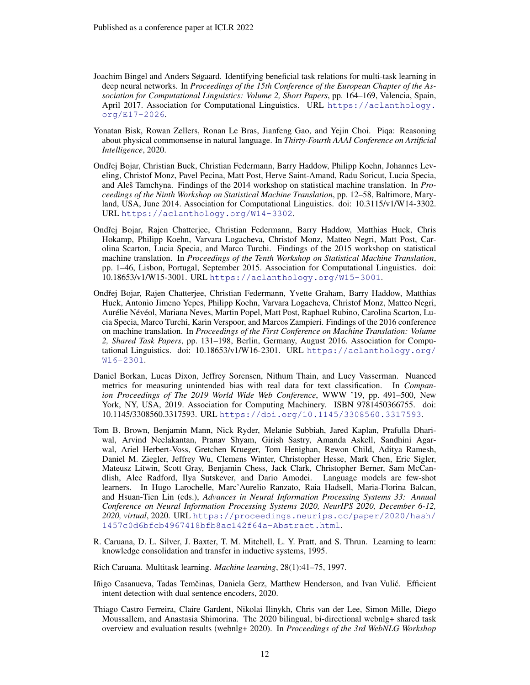- <span id="page-11-5"></span>Joachim Bingel and Anders Søgaard. Identifying beneficial task relations for multi-task learning in deep neural networks. In *Proceedings of the 15th Conference of the European Chapter of the Association for Computational Linguistics: Volume 2, Short Papers*, pp. 164–169, Valencia, Spain, April 2017. Association for Computational Linguistics. URL [https://aclanthology.](https://aclanthology.org/E17-2026) [org/E17-2026](https://aclanthology.org/E17-2026).
- <span id="page-11-8"></span>Yonatan Bisk, Rowan Zellers, Ronan Le Bras, Jianfeng Gao, and Yejin Choi. Piqa: Reasoning about physical commonsense in natural language. In *Thirty-Fourth AAAI Conference on Artificial Intelligence*, 2020.
- <span id="page-11-2"></span>Ondřej Bojar, Christian Buck, Christian Federmann, Barry Haddow, Philipp Koehn, Johannes Leveling, Christof Monz, Pavel Pecina, Matt Post, Herve Saint-Amand, Radu Soricut, Lucia Specia, and Aleš Tamchyna. Findings of the 2014 workshop on statistical machine translation. In *Proceedings of the Ninth Workshop on Statistical Machine Translation*, pp. 12–58, Baltimore, Maryland, USA, June 2014. Association for Computational Linguistics. doi: 10.3115/v1/W14-3302. URL <https://aclanthology.org/W14-3302>.
- <span id="page-11-3"></span>Ondřej Bojar, Rajen Chatterjee, Christian Federmann, Barry Haddow, Matthias Huck, Chris Hokamp, Philipp Koehn, Varvara Logacheva, Christof Monz, Matteo Negri, Matt Post, Carolina Scarton, Lucia Specia, and Marco Turchi. Findings of the 2015 workshop on statistical machine translation. In *Proceedings of the Tenth Workshop on Statistical Machine Translation*, pp. 1–46, Lisbon, Portugal, September 2015. Association for Computational Linguistics. doi: 10.18653/v1/W15-3001. URL <https://aclanthology.org/W15-3001>.
- <span id="page-11-4"></span>Ondřej Bojar, Rajen Chatterjee, Christian Federmann, Yvette Graham, Barry Haddow, Matthias Huck, Antonio Jimeno Yepes, Philipp Koehn, Varvara Logacheva, Christof Monz, Matteo Negri, Aurélie Névéol, Mariana Neves, Martin Popel, Matt Post, Raphael Rubino, Carolina Scarton, Lucia Specia, Marco Turchi, Karin Verspoor, and Marcos Zampieri. Findings of the 2016 conference on machine translation. In *Proceedings of the First Conference on Machine Translation: Volume 2, Shared Task Papers*, pp. 131–198, Berlin, Germany, August 2016. Association for Computational Linguistics. doi: 10.18653/v1/W16-2301. URL [https://aclanthology.org/](https://aclanthology.org/W16-2301) [W16-2301](https://aclanthology.org/W16-2301).
- <span id="page-11-7"></span>Daniel Borkan, Lucas Dixon, Jeffrey Sorensen, Nithum Thain, and Lucy Vasserman. Nuanced metrics for measuring unintended bias with real data for text classification. In *Companion Proceedings of The 2019 World Wide Web Conference*, WWW '19, pp. 491–500, New York, NY, USA, 2019. Association for Computing Machinery. ISBN 9781450366755. doi: 10.1145/3308560.3317593. URL <https://doi.org/10.1145/3308560.3317593>.
- <span id="page-11-6"></span>Tom B. Brown, Benjamin Mann, Nick Ryder, Melanie Subbiah, Jared Kaplan, Prafulla Dhariwal, Arvind Neelakantan, Pranav Shyam, Girish Sastry, Amanda Askell, Sandhini Agarwal, Ariel Herbert-Voss, Gretchen Krueger, Tom Henighan, Rewon Child, Aditya Ramesh, Daniel M. Ziegler, Jeffrey Wu, Clemens Winter, Christopher Hesse, Mark Chen, Eric Sigler, Mateusz Litwin, Scott Gray, Benjamin Chess, Jack Clark, Christopher Berner, Sam McCandlish, Alec Radford, Ilya Sutskever, and Dario Amodei. Language models are few-shot learners. In Hugo Larochelle, Marc'Aurelio Ranzato, Raia Hadsell, Maria-Florina Balcan, and Hsuan-Tien Lin (eds.), *Advances in Neural Information Processing Systems 33: Annual Conference on Neural Information Processing Systems 2020, NeurIPS 2020, December 6-12, 2020, virtual*, 2020. URL [https://proceedings.neurips.cc/paper/2020/hash/](https://proceedings.neurips.cc/paper/2020/hash/1457c0d6bfcb4967418bfb8ac142f64a-Abstract.html) [1457c0d6bfcb4967418bfb8ac142f64a-Abstract.html](https://proceedings.neurips.cc/paper/2020/hash/1457c0d6bfcb4967418bfb8ac142f64a-Abstract.html).
- <span id="page-11-0"></span>R. Caruana, D. L. Silver, J. Baxter, T. M. Mitchell, L. Y. Pratt, and S. Thrun. Learning to learn: knowledge consolidation and transfer in inductive systems, 1995.
- <span id="page-11-1"></span>Rich Caruana. Multitask learning. *Machine learning*, 28(1):41–75, 1997.
- <span id="page-11-10"></span>Iñigo Casanueva, Tadas Temčinas, Daniela Gerz, Matthew Henderson, and Ivan Vulić. Efficient intent detection with dual sentence encoders, 2020.
- <span id="page-11-9"></span>Thiago Castro Ferreira, Claire Gardent, Nikolai Ilinykh, Chris van der Lee, Simon Mille, Diego Moussallem, and Anastasia Shimorina. The 2020 bilingual, bi-directional webnlg+ shared task overview and evaluation results (webnlg+ 2020). In *Proceedings of the 3rd WebNLG Workshop*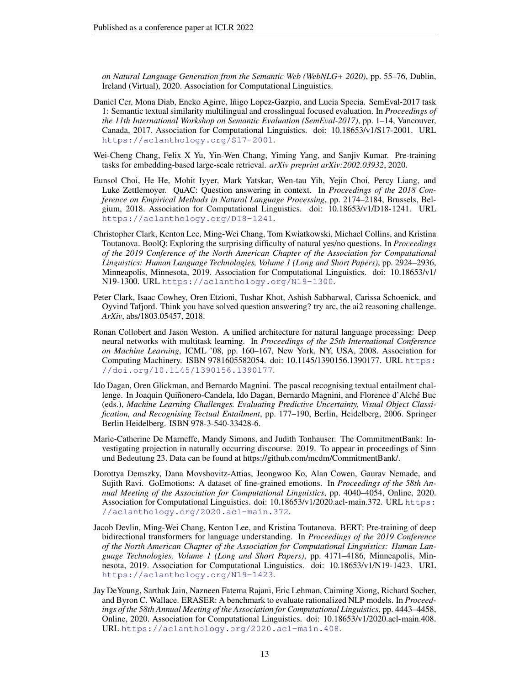*on Natural Language Generation from the Semantic Web (WebNLG+ 2020)*, pp. 55–76, Dublin, Ireland (Virtual), 2020. Association for Computational Linguistics.

- <span id="page-12-7"></span>Daniel Cer, Mona Diab, Eneko Agirre, Iñigo Lopez-Gazpio, and Lucia Specia. SemEval-2017 task 1: Semantic textual similarity multilingual and crosslingual focused evaluation. In *Proceedings of the 11th International Workshop on Semantic Evaluation (SemEval-2017)*, pp. 1–14, Vancouver, Canada, 2017. Association for Computational Linguistics. doi: 10.18653/v1/S17-2001. URL <https://aclanthology.org/S17-2001>.
- <span id="page-12-3"></span>Wei-Cheng Chang, Felix X Yu, Yin-Wen Chang, Yiming Yang, and Sanjiv Kumar. Pre-training tasks for embedding-based large-scale retrieval. *arXiv preprint arXiv:2002.03932*, 2020.
- <span id="page-12-5"></span>Eunsol Choi, He He, Mohit Iyyer, Mark Yatskar, Wen-tau Yih, Yejin Choi, Percy Liang, and Luke Zettlemoyer. QuAC: Question answering in context. In *Proceedings of the 2018 Conference on Empirical Methods in Natural Language Processing*, pp. 2174–2184, Brussels, Belgium, 2018. Association for Computational Linguistics. doi: 10.18653/v1/D18-1241. URL <https://aclanthology.org/D18-1241>.
- <span id="page-12-9"></span>Christopher Clark, Kenton Lee, Ming-Wei Chang, Tom Kwiatkowski, Michael Collins, and Kristina Toutanova. BoolQ: Exploring the surprising difficulty of natural yes/no questions. In *Proceedings of the 2019 Conference of the North American Chapter of the Association for Computational Linguistics: Human Language Technologies, Volume 1 (Long and Short Papers)*, pp. 2924–2936, Minneapolis, Minnesota, 2019. Association for Computational Linguistics. doi: 10.18653/v1/ N19-1300. URL <https://aclanthology.org/N19-1300>.
- <span id="page-12-1"></span>Peter Clark, Isaac Cowhey, Oren Etzioni, Tushar Khot, Ashish Sabharwal, Carissa Schoenick, and Oyvind Tafjord. Think you have solved question answering? try arc, the ai2 reasoning challenge. *ArXiv*, abs/1803.05457, 2018.
- <span id="page-12-2"></span>Ronan Collobert and Jason Weston. A unified architecture for natural language processing: Deep neural networks with multitask learning. In *Proceedings of the 25th International Conference on Machine Learning*, ICML '08, pp. 160–167, New York, NY, USA, 2008. Association for Computing Machinery. ISBN 9781605582054. doi: 10.1145/1390156.1390177. URL [https:](https://doi.org/10.1145/1390156.1390177) [//doi.org/10.1145/1390156.1390177](https://doi.org/10.1145/1390156.1390177).
- <span id="page-12-8"></span>Ido Dagan, Oren Glickman, and Bernardo Magnini. The pascal recognising textual entailment challenge. In Joaquin Quiñonero-Candela, Ido Dagan, Bernardo Magnini, and Florence d'Alché Buc (eds.), *Machine Learning Challenges. Evaluating Predictive Uncertainty, Visual Object Classification, and Recognising Tectual Entailment*, pp. 177–190, Berlin, Heidelberg, 2006. Springer Berlin Heidelberg. ISBN 978-3-540-33428-6.
- <span id="page-12-10"></span>Marie-Catherine De Marneffe, Mandy Simons, and Judith Tonhauser. The CommitmentBank: Investigating projection in naturally occurring discourse. 2019. To appear in proceedings of Sinn und Bedeutung 23. Data can be found at https://github.com/mcdm/CommitmentBank/.
- <span id="page-12-6"></span>Dorottya Demszky, Dana Movshovitz-Attias, Jeongwoo Ko, Alan Cowen, Gaurav Nemade, and Sujith Ravi. GoEmotions: A dataset of fine-grained emotions. In *Proceedings of the 58th Annual Meeting of the Association for Computational Linguistics*, pp. 4040–4054, Online, 2020. Association for Computational Linguistics. doi: 10.18653/v1/2020.acl-main.372. URL [https:](https://aclanthology.org/2020.acl-main.372) [//aclanthology.org/2020.acl-main.372](https://aclanthology.org/2020.acl-main.372).
- <span id="page-12-0"></span>Jacob Devlin, Ming-Wei Chang, Kenton Lee, and Kristina Toutanova. BERT: Pre-training of deep bidirectional transformers for language understanding. In *Proceedings of the 2019 Conference of the North American Chapter of the Association for Computational Linguistics: Human Language Technologies, Volume 1 (Long and Short Papers)*, pp. 4171–4186, Minneapolis, Minnesota, 2019. Association for Computational Linguistics. doi: 10.18653/v1/N19-1423. URL <https://aclanthology.org/N19-1423>.
- <span id="page-12-4"></span>Jay DeYoung, Sarthak Jain, Nazneen Fatema Rajani, Eric Lehman, Caiming Xiong, Richard Socher, and Byron C. Wallace. ERASER: A benchmark to evaluate rationalized NLP models. In *Proceedings of the 58th Annual Meeting of the Association for Computational Linguistics*, pp. 4443–4458, Online, 2020. Association for Computational Linguistics. doi: 10.18653/v1/2020.acl-main.408. URL <https://aclanthology.org/2020.acl-main.408>.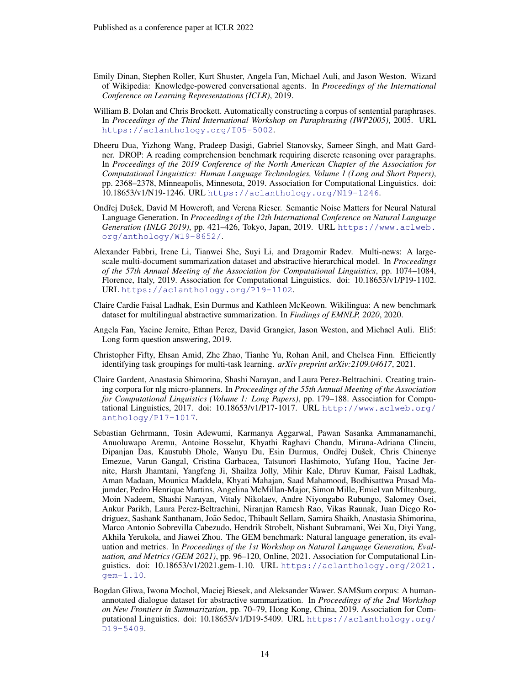- <span id="page-13-7"></span>Emily Dinan, Stephen Roller, Kurt Shuster, Angela Fan, Michael Auli, and Jason Weston. Wizard of Wikipedia: Knowledge-powered conversational agents. In *Proceedings of the International Conference on Learning Representations (ICLR)*, 2019.
- <span id="page-13-5"></span>William B. Dolan and Chris Brockett. Automatically constructing a corpus of sentential paraphrases. In *Proceedings of the Third International Workshop on Paraphrasing (IWP2005)*, 2005. URL <https://aclanthology.org/I05-5002>.
- <span id="page-13-4"></span>Dheeru Dua, Yizhong Wang, Pradeep Dasigi, Gabriel Stanovsky, Sameer Singh, and Matt Gardner. DROP: A reading comprehension benchmark requiring discrete reasoning over paragraphs. In *Proceedings of the 2019 Conference of the North American Chapter of the Association for Computational Linguistics: Human Language Technologies, Volume 1 (Long and Short Papers)*, pp. 2368–2378, Minneapolis, Minnesota, 2019. Association for Computational Linguistics. doi: 10.18653/v1/N19-1246. URL <https://aclanthology.org/N19-1246>.
- <span id="page-13-10"></span>Ondřej Dušek, David M Howcroft, and Verena Rieser. Semantic Noise Matters for Neural Natural Language Generation. In *Proceedings of the 12th International Conference on Natural Language Generation (INLG 2019)*, pp. 421–426, Tokyo, Japan, 2019. URL [https://www.aclweb.](https://www.aclweb.org/anthology/W19-8652/) [org/anthology/W19-8652/](https://www.aclweb.org/anthology/W19-8652/).
- <span id="page-13-2"></span>Alexander Fabbri, Irene Li, Tianwei She, Suyi Li, and Dragomir Radev. Multi-news: A largescale multi-document summarization dataset and abstractive hierarchical model. In *Proceedings of the 57th Annual Meeting of the Association for Computational Linguistics*, pp. 1074–1084, Florence, Italy, 2019. Association for Computational Linguistics. doi: 10.18653/v1/P19-1102. URL <https://aclanthology.org/P19-1102>.
- <span id="page-13-8"></span>Claire Cardie Faisal Ladhak, Esin Durmus and Kathleen McKeown. Wikilingua: A new benchmark dataset for multilingual abstractive summarization. In *Findings of EMNLP, 2020*, 2020.
- <span id="page-13-6"></span>Angela Fan, Yacine Jernite, Ethan Perez, David Grangier, Jason Weston, and Michael Auli. Eli5: Long form question answering, 2019.
- <span id="page-13-1"></span>Christopher Fifty, Ehsan Amid, Zhe Zhao, Tianhe Yu, Rohan Anil, and Chelsea Finn. Efficiently identifying task groupings for multi-task learning. *arXiv preprint arXiv:2109.04617*, 2021.
- <span id="page-13-9"></span>Claire Gardent, Anastasia Shimorina, Shashi Narayan, and Laura Perez-Beltrachini. Creating training corpora for nlg micro-planners. In *Proceedings of the 55th Annual Meeting of the Association for Computational Linguistics (Volume 1: Long Papers)*, pp. 179–188. Association for Computational Linguistics, 2017. doi: 10.18653/v1/P17-1017. URL [http://www.aclweb.org/](http://www.aclweb.org/anthology/P17-1017) [anthology/P17-1017](http://www.aclweb.org/anthology/P17-1017).
- <span id="page-13-0"></span>Sebastian Gehrmann, Tosin Adewumi, Karmanya Aggarwal, Pawan Sasanka Ammanamanchi, Anuoluwapo Aremu, Antoine Bosselut, Khyathi Raghavi Chandu, Miruna-Adriana Clinciu, Dipanjan Das, Kaustubh Dhole, Wanyu Du, Esin Durmus, Ondřej Dušek, Chris Chinenye Emezue, Varun Gangal, Cristina Garbacea, Tatsunori Hashimoto, Yufang Hou, Yacine Jernite, Harsh Jhamtani, Yangfeng Ji, Shailza Jolly, Mihir Kale, Dhruv Kumar, Faisal Ladhak, Aman Madaan, Mounica Maddela, Khyati Mahajan, Saad Mahamood, Bodhisattwa Prasad Majumder, Pedro Henrique Martins, Angelina McMillan-Major, Simon Mille, Emiel van Miltenburg, Moin Nadeem, Shashi Narayan, Vitaly Nikolaev, Andre Niyongabo Rubungo, Salomey Osei, Ankur Parikh, Laura Perez-Beltrachini, Niranjan Ramesh Rao, Vikas Raunak, Juan Diego Rodriguez, Sashank Santhanam, João Sedoc, Thibault Sellam, Samira Shaikh, Anastasia Shimorina, Marco Antonio Sobrevilla Cabezudo, Hendrik Strobelt, Nishant Subramani, Wei Xu, Diyi Yang, Akhila Yerukola, and Jiawei Zhou. The GEM benchmark: Natural language generation, its evaluation and metrics. In *Proceedings of the 1st Workshop on Natural Language Generation, Evaluation, and Metrics (GEM 2021)*, pp. 96–120, Online, 2021. Association for Computational Linguistics. doi: 10.18653/v1/2021.gem-1.10. URL [https://aclanthology.org/2021.](https://aclanthology.org/2021.gem-1.10) [gem-1.10](https://aclanthology.org/2021.gem-1.10).
- <span id="page-13-3"></span>Bogdan Gliwa, Iwona Mochol, Maciej Biesek, and Aleksander Wawer. SAMSum corpus: A humanannotated dialogue dataset for abstractive summarization. In *Proceedings of the 2nd Workshop on New Frontiers in Summarization*, pp. 70–79, Hong Kong, China, 2019. Association for Computational Linguistics. doi: 10.18653/v1/D19-5409. URL [https://aclanthology.org/](https://aclanthology.org/D19-5409) [D19-5409](https://aclanthology.org/D19-5409).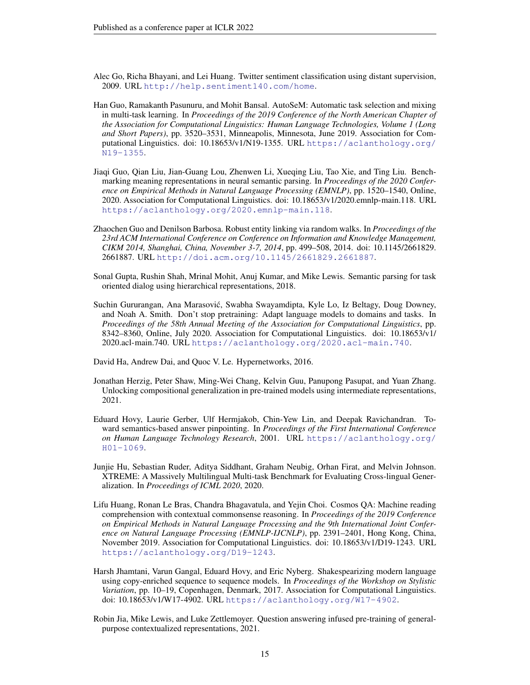- <span id="page-14-5"></span>Alec Go, Richa Bhayani, and Lei Huang. Twitter sentiment classification using distant supervision, 2009. URL <http://help.sentiment140.com/home>.
- <span id="page-14-2"></span>Han Guo, Ramakanth Pasunuru, and Mohit Bansal. AutoSeM: Automatic task selection and mixing in multi-task learning. In *Proceedings of the 2019 Conference of the North American Chapter of the Association for Computational Linguistics: Human Language Technologies, Volume 1 (Long and Short Papers)*, pp. 3520–3531, Minneapolis, Minnesota, June 2019. Association for Computational Linguistics. doi: 10.18653/v1/N19-1355. URL [https://aclanthology.org/](https://aclanthology.org/N19-1355) [N19-1355](https://aclanthology.org/N19-1355).
- <span id="page-14-7"></span>Jiaqi Guo, Qian Liu, Jian-Guang Lou, Zhenwen Li, Xueqing Liu, Tao Xie, and Ting Liu. Benchmarking meaning representations in neural semantic parsing. In *Proceedings of the 2020 Conference on Empirical Methods in Natural Language Processing (EMNLP)*, pp. 1520–1540, Online, 2020. Association for Computational Linguistics. doi: 10.18653/v1/2020.emnlp-main.118. URL <https://aclanthology.org/2020.emnlp-main.118>.
- <span id="page-14-10"></span>Zhaochen Guo and Denilson Barbosa. Robust entity linking via random walks. In *Proceedings of the 23rd ACM International Conference on Conference on Information and Knowledge Management, CIKM 2014, Shanghai, China, November 3-7, 2014*, pp. 499–508, 2014. doi: 10.1145/2661829. 2661887. URL <http://doi.acm.org/10.1145/2661829.2661887>.
- <span id="page-14-12"></span>Sonal Gupta, Rushin Shah, Mrinal Mohit, Anuj Kumar, and Mike Lewis. Semantic parsing for task oriented dialog using hierarchical representations, 2018.
- <span id="page-14-0"></span>Suchin Gururangan, Ana Marasovic, Swabha Swayamdipta, Kyle Lo, Iz Beltagy, Doug Downey, ´ and Noah A. Smith. Don't stop pretraining: Adapt language models to domains and tasks. In *Proceedings of the 58th Annual Meeting of the Association for Computational Linguistics*, pp. 8342–8360, Online, July 2020. Association for Computational Linguistics. doi: 10.18653/v1/ 2020.acl-main.740. URL <https://aclanthology.org/2020.acl-main.740>.

<span id="page-14-4"></span>David Ha, Andrew Dai, and Quoc V. Le. Hypernetworks, 2016.

- <span id="page-14-8"></span>Jonathan Herzig, Peter Shaw, Ming-Wei Chang, Kelvin Guu, Panupong Pasupat, and Yuan Zhang. Unlocking compositional generalization in pre-trained models using intermediate representations, 2021.
- <span id="page-14-6"></span>Eduard Hovy, Laurie Gerber, Ulf Hermjakob, Chin-Yew Lin, and Deepak Ravichandran. Toward semantics-based answer pinpointing. In *Proceedings of the First International Conference on Human Language Technology Research*, 2001. URL [https://aclanthology.org/](https://aclanthology.org/H01-1069) [H01-1069](https://aclanthology.org/H01-1069).
- <span id="page-14-3"></span>Junjie Hu, Sebastian Ruder, Aditya Siddhant, Graham Neubig, Orhan Firat, and Melvin Johnson. XTREME: A Massively Multilingual Multi-task Benchmark for Evaluating Cross-lingual Generalization. In *Proceedings of ICML 2020*, 2020.
- <span id="page-14-11"></span>Lifu Huang, Ronan Le Bras, Chandra Bhagavatula, and Yejin Choi. Cosmos QA: Machine reading comprehension with contextual commonsense reasoning. In *Proceedings of the 2019 Conference on Empirical Methods in Natural Language Processing and the 9th International Joint Conference on Natural Language Processing (EMNLP-IJCNLP)*, pp. 2391–2401, Hong Kong, China, November 2019. Association for Computational Linguistics. doi: 10.18653/v1/D19-1243. URL <https://aclanthology.org/D19-1243>.
- <span id="page-14-9"></span>Harsh Jhamtani, Varun Gangal, Eduard Hovy, and Eric Nyberg. Shakespearizing modern language using copy-enriched sequence to sequence models. In *Proceedings of the Workshop on Stylistic Variation*, pp. 10–19, Copenhagen, Denmark, 2017. Association for Computational Linguistics. doi: 10.18653/v1/W17-4902. URL <https://aclanthology.org/W17-4902>.
- <span id="page-14-1"></span>Robin Jia, Mike Lewis, and Luke Zettlemoyer. Question answering infused pre-training of generalpurpose contextualized representations, 2021.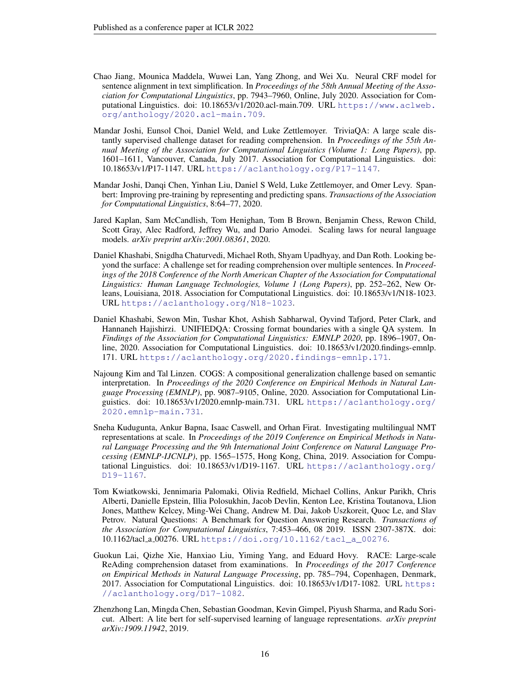- <span id="page-15-10"></span>Chao Jiang, Mounica Maddela, Wuwei Lan, Yang Zhong, and Wei Xu. Neural CRF model for sentence alignment in text simplification. In *Proceedings of the 58th Annual Meeting of the Association for Computational Linguistics*, pp. 7943–7960, Online, July 2020. Association for Computational Linguistics. doi: 10.18653/v1/2020.acl-main.709. URL [https://www.aclweb.](https://www.aclweb.org/anthology/2020.acl-main.709) [org/anthology/2020.acl-main.709](https://www.aclweb.org/anthology/2020.acl-main.709).
- <span id="page-15-9"></span>Mandar Joshi, Eunsol Choi, Daniel Weld, and Luke Zettlemoyer. TriviaQA: A large scale distantly supervised challenge dataset for reading comprehension. In *Proceedings of the 55th Annual Meeting of the Association for Computational Linguistics (Volume 1: Long Papers)*, pp. 1601–1611, Vancouver, Canada, July 2017. Association for Computational Linguistics. doi: 10.18653/v1/P17-1147. URL <https://aclanthology.org/P17-1147>.
- <span id="page-15-0"></span>Mandar Joshi, Danqi Chen, Yinhan Liu, Daniel S Weld, Luke Zettlemoyer, and Omer Levy. Spanbert: Improving pre-training by representing and predicting spans. *Transactions of the Association for Computational Linguistics*, 8:64–77, 2020.
- <span id="page-15-3"></span>Jared Kaplan, Sam McCandlish, Tom Henighan, Tom B Brown, Benjamin Chess, Rewon Child, Scott Gray, Alec Radford, Jeffrey Wu, and Dario Amodei. Scaling laws for neural language models. *arXiv preprint arXiv:2001.08361*, 2020.
- <span id="page-15-7"></span>Daniel Khashabi, Snigdha Chaturvedi, Michael Roth, Shyam Upadhyay, and Dan Roth. Looking beyond the surface: A challenge set for reading comprehension over multiple sentences. In *Proceedings of the 2018 Conference of the North American Chapter of the Association for Computational Linguistics: Human Language Technologies, Volume 1 (Long Papers)*, pp. 252–262, New Orleans, Louisiana, 2018. Association for Computational Linguistics. doi: 10.18653/v1/N18-1023. URL <https://aclanthology.org/N18-1023>.
- <span id="page-15-1"></span>Daniel Khashabi, Sewon Min, Tushar Khot, Ashish Sabharwal, Oyvind Tafjord, Peter Clark, and Hannaneh Hajishirzi. UNIFIEDQA: Crossing format boundaries with a single QA system. In *Findings of the Association for Computational Linguistics: EMNLP 2020*, pp. 1896–1907, Online, 2020. Association for Computational Linguistics. doi: 10.18653/v1/2020.findings-emnlp. 171. URL <https://aclanthology.org/2020.findings-emnlp.171>.
- <span id="page-15-6"></span>Najoung Kim and Tal Linzen. COGS: A compositional generalization challenge based on semantic interpretation. In *Proceedings of the 2020 Conference on Empirical Methods in Natural Language Processing (EMNLP)*, pp. 9087–9105, Online, 2020. Association for Computational Linguistics. doi: 10.18653/v1/2020.emnlp-main.731. URL [https://aclanthology.org/](https://aclanthology.org/2020.emnlp-main.731) [2020.emnlp-main.731](https://aclanthology.org/2020.emnlp-main.731).
- <span id="page-15-4"></span>Sneha Kudugunta, Ankur Bapna, Isaac Caswell, and Orhan Firat. Investigating multilingual NMT representations at scale. In *Proceedings of the 2019 Conference on Empirical Methods in Natural Language Processing and the 9th International Joint Conference on Natural Language Processing (EMNLP-IJCNLP)*, pp. 1565–1575, Hong Kong, China, 2019. Association for Computational Linguistics. doi: 10.18653/v1/D19-1167. URL [https://aclanthology.org/](https://aclanthology.org/D19-1167) [D19-1167](https://aclanthology.org/D19-1167).
- <span id="page-15-8"></span>Tom Kwiatkowski, Jennimaria Palomaki, Olivia Redfield, Michael Collins, Ankur Parikh, Chris Alberti, Danielle Epstein, Illia Polosukhin, Jacob Devlin, Kenton Lee, Kristina Toutanova, Llion Jones, Matthew Kelcey, Ming-Wei Chang, Andrew M. Dai, Jakob Uszkoreit, Quoc Le, and Slav Petrov. Natural Questions: A Benchmark for Question Answering Research. *Transactions of the Association for Computational Linguistics*, 7:453–466, 08 2019. ISSN 2307-387X. doi: 10.1162/tacl a 00276. URL [https://doi.org/10.1162/tacl\\_a\\_00276](https://doi.org/10.1162/tacl_a_00276).
- <span id="page-15-5"></span>Guokun Lai, Qizhe Xie, Hanxiao Liu, Yiming Yang, and Eduard Hovy. RACE: Large-scale ReAding comprehension dataset from examinations. In *Proceedings of the 2017 Conference on Empirical Methods in Natural Language Processing*, pp. 785–794, Copenhagen, Denmark, 2017. Association for Computational Linguistics. doi: 10.18653/v1/D17-1082. URL [https:](https://aclanthology.org/D17-1082) [//aclanthology.org/D17-1082](https://aclanthology.org/D17-1082).
- <span id="page-15-2"></span>Zhenzhong Lan, Mingda Chen, Sebastian Goodman, Kevin Gimpel, Piyush Sharma, and Radu Soricut. Albert: A lite bert for self-supervised learning of language representations. *arXiv preprint arXiv:1909.11942*, 2019.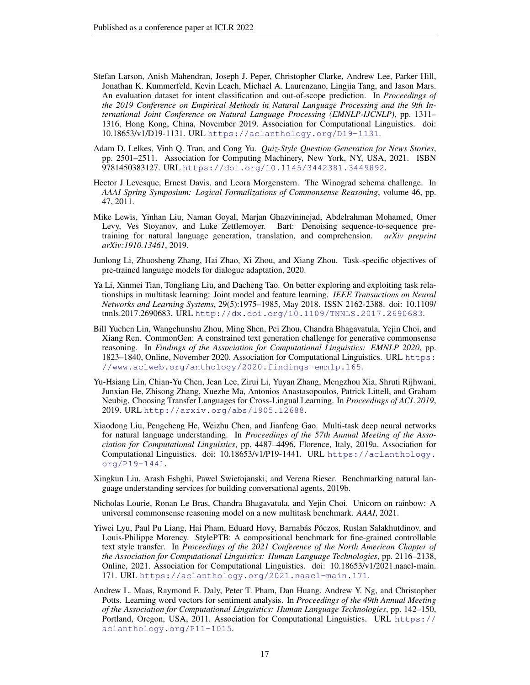- <span id="page-16-12"></span>Stefan Larson, Anish Mahendran, Joseph J. Peper, Christopher Clarke, Andrew Lee, Parker Hill, Jonathan K. Kummerfeld, Kevin Leach, Michael A. Laurenzano, Lingjia Tang, and Jason Mars. An evaluation dataset for intent classification and out-of-scope prediction. In *Proceedings of the 2019 Conference on Empirical Methods in Natural Language Processing and the 9th International Joint Conference on Natural Language Processing (EMNLP-IJCNLP)*, pp. 1311– 1316, Hong Kong, China, November 2019. Association for Computational Linguistics. doi: 10.18653/v1/D19-1131. URL <https://aclanthology.org/D19-1131>.
- <span id="page-16-6"></span>Adam D. Lelkes, Vinh Q. Tran, and Cong Yu. *Quiz-Style Question Generation for News Stories*, pp. 2501–2511. Association for Computing Machinery, New York, NY, USA, 2021. ISBN 9781450383127. URL <https://doi.org/10.1145/3442381.3449892>.
- <span id="page-16-9"></span>Hector J Levesque, Ernest Davis, and Leora Morgenstern. The Winograd schema challenge. In *AAAI Spring Symposium: Logical Formalizations of Commonsense Reasoning*, volume 46, pp. 47, 2011.
- <span id="page-16-5"></span>Mike Lewis, Yinhan Liu, Naman Goyal, Marjan Ghazvininejad, Abdelrahman Mohamed, Omer Levy, Ves Stoyanov, and Luke Zettlemoyer. Bart: Denoising sequence-to-sequence pretraining for natural language generation, translation, and comprehension. *arXiv preprint arXiv:1910.13461*, 2019.
- <span id="page-16-2"></span>Junlong Li, Zhuosheng Zhang, Hai Zhao, Xi Zhou, and Xiang Zhou. Task-specific objectives of pre-trained language models for dialogue adaptation, 2020.
- <span id="page-16-3"></span>Ya Li, Xinmei Tian, Tongliang Liu, and Dacheng Tao. On better exploring and exploiting task relationships in multitask learning: Joint model and feature learning. *IEEE Transactions on Neural Networks and Learning Systems*, 29(5):1975–1985, May 2018. ISSN 2162-2388. doi: 10.1109/ tnnls.2017.2690683. URL <http://dx.doi.org/10.1109/TNNLS.2017.2690683>.
- <span id="page-16-10"></span>Bill Yuchen Lin, Wangchunshu Zhou, Ming Shen, Pei Zhou, Chandra Bhagavatula, Yejin Choi, and Xiang Ren. CommonGen: A constrained text generation challenge for generative commonsense reasoning. In *Findings of the Association for Computational Linguistics: EMNLP 2020*, pp. 1823–1840, Online, November 2020. Association for Computational Linguistics. URL [https:](https://www.aclweb.org/anthology/2020.findings-emnlp.165) [//www.aclweb.org/anthology/2020.findings-emnlp.165](https://www.aclweb.org/anthology/2020.findings-emnlp.165).
- <span id="page-16-4"></span>Yu-Hsiang Lin, Chian-Yu Chen, Jean Lee, Zirui Li, Yuyan Zhang, Mengzhou Xia, Shruti Rijhwani, Junxian He, Zhisong Zhang, Xuezhe Ma, Antonios Anastasopoulos, Patrick Littell, and Graham Neubig. Choosing Transfer Languages for Cross-Lingual Learning. In *Proceedings of ACL 2019*, 2019. URL <http://arxiv.org/abs/1905.12688>.
- <span id="page-16-0"></span>Xiaodong Liu, Pengcheng He, Weizhu Chen, and Jianfeng Gao. Multi-task deep neural networks for natural language understanding. In *Proceedings of the 57th Annual Meeting of the Association for Computational Linguistics*, pp. 4487–4496, Florence, Italy, 2019a. Association for Computational Linguistics. doi: 10.18653/v1/P19-1441. URL [https://aclanthology.](https://aclanthology.org/P19-1441) [org/P19-1441](https://aclanthology.org/P19-1441).
- <span id="page-16-11"></span>Xingkun Liu, Arash Eshghi, Pawel Swietojanski, and Verena Rieser. Benchmarking natural language understanding services for building conversational agents, 2019b.
- <span id="page-16-1"></span>Nicholas Lourie, Ronan Le Bras, Chandra Bhagavatula, and Yejin Choi. Unicorn on rainbow: A universal commonsense reasoning model on a new multitask benchmark. *AAAI*, 2021.
- <span id="page-16-8"></span>Yiwei Lyu, Paul Pu Liang, Hai Pham, Eduard Hovy, Barnabás Póczos, Ruslan Salakhutdinov, and Louis-Philippe Morency. StylePTB: A compositional benchmark for fine-grained controllable text style transfer. In *Proceedings of the 2021 Conference of the North American Chapter of the Association for Computational Linguistics: Human Language Technologies*, pp. 2116–2138, Online, 2021. Association for Computational Linguistics. doi: 10.18653/v1/2021.naacl-main. 171. URL <https://aclanthology.org/2021.naacl-main.171>.
- <span id="page-16-7"></span>Andrew L. Maas, Raymond E. Daly, Peter T. Pham, Dan Huang, Andrew Y. Ng, and Christopher Potts. Learning word vectors for sentiment analysis. In *Proceedings of the 49th Annual Meeting of the Association for Computational Linguistics: Human Language Technologies*, pp. 142–150, Portland, Oregon, USA, 2011. Association for Computational Linguistics. URL [https://](https://aclanthology.org/P11-1015) [aclanthology.org/P11-1015](https://aclanthology.org/P11-1015).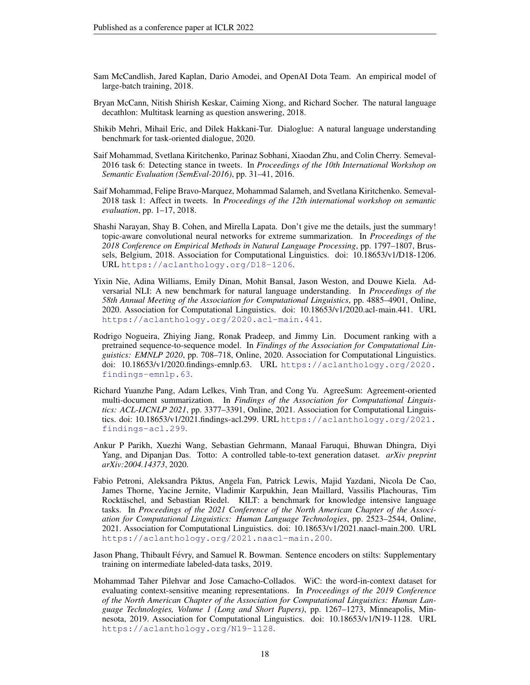- <span id="page-17-0"></span>Sam McCandlish, Jared Kaplan, Dario Amodei, and OpenAI Dota Team. An empirical model of large-batch training, 2018.
- <span id="page-17-3"></span>Bryan McCann, Nitish Shirish Keskar, Caiming Xiong, and Richard Socher. The natural language decathlon: Multitask learning as question answering, 2018.
- <span id="page-17-5"></span>Shikib Mehri, Mihail Eric, and Dilek Hakkani-Tur. Dialoglue: A natural language understanding benchmark for task-oriented dialogue, 2020.
- <span id="page-17-12"></span>Saif Mohammad, Svetlana Kiritchenko, Parinaz Sobhani, Xiaodan Zhu, and Colin Cherry. Semeval-2016 task 6: Detecting stance in tweets. In *Proceedings of the 10th International Workshop on Semantic Evaluation (SemEval-2016)*, pp. 31–41, 2016.
- <span id="page-17-11"></span>Saif Mohammad, Felipe Bravo-Marquez, Mohammad Salameh, and Svetlana Kiritchenko. Semeval-2018 task 1: Affect in tweets. In *Proceedings of the 12th international workshop on semantic evaluation*, pp. 1–17, 2018.
- <span id="page-17-6"></span>Shashi Narayan, Shay B. Cohen, and Mirella Lapata. Don't give me the details, just the summary! topic-aware convolutional neural networks for extreme summarization. In *Proceedings of the 2018 Conference on Empirical Methods in Natural Language Processing*, pp. 1797–1807, Brussels, Belgium, 2018. Association for Computational Linguistics. doi: 10.18653/v1/D18-1206. URL <https://aclanthology.org/D18-1206>.
- <span id="page-17-7"></span>Yixin Nie, Adina Williams, Emily Dinan, Mohit Bansal, Jason Weston, and Douwe Kiela. Adversarial NLI: A new benchmark for natural language understanding. In *Proceedings of the 58th Annual Meeting of the Association for Computational Linguistics*, pp. 4885–4901, Online, 2020. Association for Computational Linguistics. doi: 10.18653/v1/2020.acl-main.441. URL <https://aclanthology.org/2020.acl-main.441>.
- <span id="page-17-1"></span>Rodrigo Nogueira, Zhiying Jiang, Ronak Pradeep, and Jimmy Lin. Document ranking with a pretrained sequence-to-sequence model. In *Findings of the Association for Computational Linguistics: EMNLP 2020*, pp. 708–718, Online, 2020. Association for Computational Linguistics. doi: 10.18653/v1/2020.findings-emnlp.63. URL [https://aclanthology.org/2020.](https://aclanthology.org/2020.findings-emnlp.63) [findings-emnlp.63](https://aclanthology.org/2020.findings-emnlp.63).
- <span id="page-17-8"></span>Richard Yuanzhe Pang, Adam Lelkes, Vinh Tran, and Cong Yu. AgreeSum: Agreement-oriented multi-document summarization. In *Findings of the Association for Computational Linguistics: ACL-IJCNLP 2021*, pp. 3377–3391, Online, 2021. Association for Computational Linguistics. doi: 10.18653/v1/2021.findings-acl.299. URL [https://aclanthology.org/2021.](https://aclanthology.org/2021.findings-acl.299) [findings-acl.299](https://aclanthology.org/2021.findings-acl.299).
- <span id="page-17-10"></span>Ankur P Parikh, Xuezhi Wang, Sebastian Gehrmann, Manaal Faruqui, Bhuwan Dhingra, Diyi Yang, and Dipanjan Das. Totto: A controlled table-to-text generation dataset. *arXiv preprint arXiv:2004.14373*, 2020.
- <span id="page-17-4"></span>Fabio Petroni, Aleksandra Piktus, Angela Fan, Patrick Lewis, Majid Yazdani, Nicola De Cao, James Thorne, Yacine Jernite, Vladimir Karpukhin, Jean Maillard, Vassilis Plachouras, Tim Rocktäschel, and Sebastian Riedel. KILT: a benchmark for knowledge intensive language tasks. In *Proceedings of the 2021 Conference of the North American Chapter of the Association for Computational Linguistics: Human Language Technologies*, pp. 2523–2544, Online, 2021. Association for Computational Linguistics. doi: 10.18653/v1/2021.naacl-main.200. URL <https://aclanthology.org/2021.naacl-main.200>.
- <span id="page-17-2"></span>Jason Phang, Thibault Févry, and Samuel R. Bowman. Sentence encoders on stilts: Supplementary training on intermediate labeled-data tasks, 2019.
- <span id="page-17-9"></span>Mohammad Taher Pilehvar and Jose Camacho-Collados. WiC: the word-in-context dataset for evaluating context-sensitive meaning representations. In *Proceedings of the 2019 Conference of the North American Chapter of the Association for Computational Linguistics: Human Language Technologies, Volume 1 (Long and Short Papers)*, pp. 1267–1273, Minneapolis, Minnesota, 2019. Association for Computational Linguistics. doi: 10.18653/v1/N19-1128. URL <https://aclanthology.org/N19-1128>.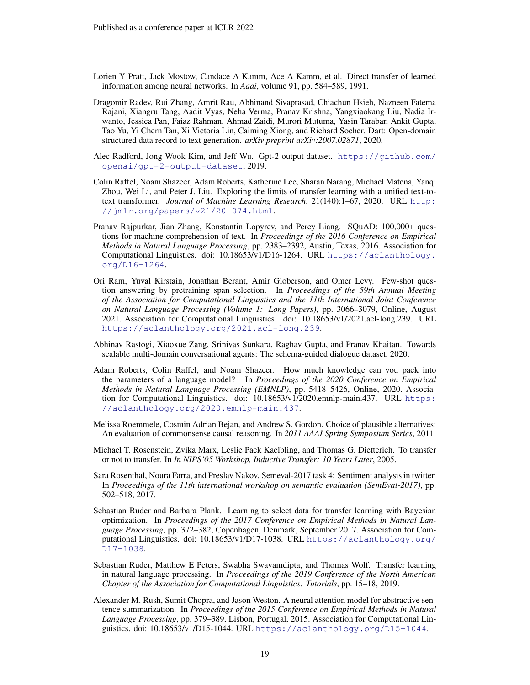- <span id="page-18-0"></span>Lorien Y Pratt, Jack Mostow, Candace A Kamm, Ace A Kamm, et al. Direct transfer of learned information among neural networks. In *Aaai*, volume 91, pp. 584–589, 1991.
- <span id="page-18-11"></span>Dragomir Radev, Rui Zhang, Amrit Rau, Abhinand Sivaprasad, Chiachun Hsieh, Nazneen Fatema Rajani, Xiangru Tang, Aadit Vyas, Neha Verma, Pranav Krishna, Yangxiaokang Liu, Nadia Irwanto, Jessica Pan, Faiaz Rahman, Ahmad Zaidi, Murori Mutuma, Yasin Tarabar, Ankit Gupta, Tao Yu, Yi Chern Tan, Xi Victoria Lin, Caiming Xiong, and Richard Socher. Dart: Open-domain structured data record to text generation. *arXiv preprint arXiv:2007.02871*, 2020.
- <span id="page-18-9"></span>Alec Radford, Jong Wook Kim, and Jeff Wu. Gpt-2 output dataset. [https://github.com/](https://github.com/openai/gpt-2-output-dataset) [openai/gpt-2-output-dataset](https://github.com/openai/gpt-2-output-dataset), 2019.
- <span id="page-18-2"></span>Colin Raffel, Noam Shazeer, Adam Roberts, Katherine Lee, Sharan Narang, Michael Matena, Yanqi Zhou, Wei Li, and Peter J. Liu. Exploring the limits of transfer learning with a unified text-totext transformer. *Journal of Machine Learning Research*, 21(140):1–67, 2020. URL [http:](http://jmlr.org/papers/v21/20-074.html) [//jmlr.org/papers/v21/20-074.html](http://jmlr.org/papers/v21/20-074.html).
- <span id="page-18-8"></span>Pranav Rajpurkar, Jian Zhang, Konstantin Lopyrev, and Percy Liang. SQuAD: 100,000+ questions for machine comprehension of text. In *Proceedings of the 2016 Conference on Empirical Methods in Natural Language Processing*, pp. 2383–2392, Austin, Texas, 2016. Association for Computational Linguistics. doi: 10.18653/v1/D16-1264. URL [https://aclanthology.](https://aclanthology.org/D16-1264) [org/D16-1264](https://aclanthology.org/D16-1264).
- <span id="page-18-5"></span>Ori Ram, Yuval Kirstain, Jonathan Berant, Amir Globerson, and Omer Levy. Few-shot question answering by pretraining span selection. In *Proceedings of the 59th Annual Meeting of the Association for Computational Linguistics and the 11th International Joint Conference on Natural Language Processing (Volume 1: Long Papers)*, pp. 3066–3079, Online, August 2021. Association for Computational Linguistics. doi: 10.18653/v1/2021.acl-long.239. URL <https://aclanthology.org/2021.acl-long.239>.
- <span id="page-18-12"></span>Abhinav Rastogi, Xiaoxue Zang, Srinivas Sunkara, Raghav Gupta, and Pranav Khaitan. Towards scalable multi-domain conversational agents: The schema-guided dialogue dataset, 2020.
- <span id="page-18-4"></span>Adam Roberts, Colin Raffel, and Noam Shazeer. How much knowledge can you pack into the parameters of a language model? In *Proceedings of the 2020 Conference on Empirical Methods in Natural Language Processing (EMNLP)*, pp. 5418–5426, Online, 2020. Association for Computational Linguistics. doi: 10.18653/v1/2020.emnlp-main.437. URL [https:](https://aclanthology.org/2020.emnlp-main.437) [//aclanthology.org/2020.emnlp-main.437](https://aclanthology.org/2020.emnlp-main.437).
- <span id="page-18-10"></span>Melissa Roemmele, Cosmin Adrian Bejan, and Andrew S. Gordon. Choice of plausible alternatives: An evaluation of commonsense causal reasoning. In *2011 AAAI Spring Symposium Series*, 2011.
- <span id="page-18-3"></span>Michael T. Rosenstein, Zvika Marx, Leslie Pack Kaelbling, and Thomas G. Dietterich. To transfer or not to transfer. In *In NIPS'05 Workshop, Inductive Transfer: 10 Years Later*, 2005.
- <span id="page-18-13"></span>Sara Rosenthal, Noura Farra, and Preslav Nakov. Semeval-2017 task 4: Sentiment analysis in twitter. In *Proceedings of the 11th international workshop on semantic evaluation (SemEval-2017)*, pp. 502–518, 2017.
- <span id="page-18-6"></span>Sebastian Ruder and Barbara Plank. Learning to select data for transfer learning with Bayesian optimization. In *Proceedings of the 2017 Conference on Empirical Methods in Natural Language Processing*, pp. 372–382, Copenhagen, Denmark, September 2017. Association for Computational Linguistics. doi: 10.18653/v1/D17-1038. URL [https://aclanthology.org/](https://aclanthology.org/D17-1038) [D17-1038](https://aclanthology.org/D17-1038).
- <span id="page-18-1"></span>Sebastian Ruder, Matthew E Peters, Swabha Swayamdipta, and Thomas Wolf. Transfer learning in natural language processing. In *Proceedings of the 2019 Conference of the North American Chapter of the Association for Computational Linguistics: Tutorials*, pp. 15–18, 2019.
- <span id="page-18-7"></span>Alexander M. Rush, Sumit Chopra, and Jason Weston. A neural attention model for abstractive sentence summarization. In *Proceedings of the 2015 Conference on Empirical Methods in Natural Language Processing*, pp. 379–389, Lisbon, Portugal, 2015. Association for Computational Linguistics. doi: 10.18653/v1/D15-1044. URL <https://aclanthology.org/D15-1044>.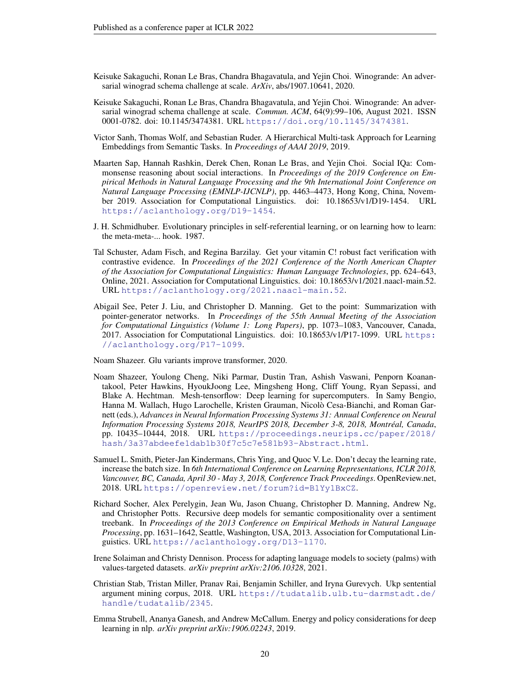- <span id="page-19-11"></span>Keisuke Sakaguchi, Ronan Le Bras, Chandra Bhagavatula, and Yejin Choi. Winogrande: An adversarial winograd schema challenge at scale. *ArXiv*, abs/1907.10641, 2020.
- <span id="page-19-13"></span>Keisuke Sakaguchi, Ronan Le Bras, Chandra Bhagavatula, and Yejin Choi. Winogrande: An adversarial winograd schema challenge at scale. *Commun. ACM*, 64(9):99–106, August 2021. ISSN 0001-0782. doi: 10.1145/3474381. URL <https://doi.org/10.1145/3474381>.
- <span id="page-19-1"></span>Victor Sanh, Thomas Wolf, and Sebastian Ruder. A Hierarchical Multi-task Approach for Learning Embeddings from Semantic Tasks. In *Proceedings of AAAI 2019*, 2019.
- <span id="page-19-12"></span>Maarten Sap, Hannah Rashkin, Derek Chen, Ronan Le Bras, and Yejin Choi. Social IQa: Commonsense reasoning about social interactions. In *Proceedings of the 2019 Conference on Empirical Methods in Natural Language Processing and the 9th International Joint Conference on Natural Language Processing (EMNLP-IJCNLP)*, pp. 4463–4473, Hong Kong, China, November 2019. Association for Computational Linguistics. doi: 10.18653/v1/D19-1454. URL <https://aclanthology.org/D19-1454>.
- <span id="page-19-0"></span>J. H. Schmidhuber. Evolutionary principles in self-referential learning, or on learning how to learn: the meta-meta-... hook. 1987.
- <span id="page-19-8"></span>Tal Schuster, Adam Fisch, and Regina Barzilay. Get your vitamin C! robust fact verification with contrastive evidence. In *Proceedings of the 2021 Conference of the North American Chapter of the Association for Computational Linguistics: Human Language Technologies*, pp. 624–643, Online, 2021. Association for Computational Linguistics. doi: 10.18653/v1/2021.naacl-main.52. URL <https://aclanthology.org/2021.naacl-main.52>.
- <span id="page-19-7"></span>Abigail See, Peter J. Liu, and Christopher D. Manning. Get to the point: Summarization with pointer-generator networks. In *Proceedings of the 55th Annual Meeting of the Association for Computational Linguistics (Volume 1: Long Papers)*, pp. 1073–1083, Vancouver, Canada, 2017. Association for Computational Linguistics. doi: 10.18653/v1/P17-1099. URL [https:](https://aclanthology.org/P17-1099) [//aclanthology.org/P17-1099](https://aclanthology.org/P17-1099).

<span id="page-19-3"></span>Noam Shazeer. Glu variants improve transformer, 2020.

- <span id="page-19-4"></span>Noam Shazeer, Youlong Cheng, Niki Parmar, Dustin Tran, Ashish Vaswani, Penporn Koanantakool, Peter Hawkins, HyoukJoong Lee, Mingsheng Hong, Cliff Young, Ryan Sepassi, and Blake A. Hechtman. Mesh-tensorflow: Deep learning for supercomputers. In Samy Bengio, Hanna M. Wallach, Hugo Larochelle, Kristen Grauman, Nicolo Cesa-Bianchi, and Roman Gar- ` nett (eds.), *Advances in Neural Information Processing Systems 31: Annual Conference on Neural Information Processing Systems 2018, NeurIPS 2018, December 3-8, 2018, Montreal, Canada ´* , pp. 10435–10444, 2018. URL [https://proceedings.neurips.cc/paper/2018/](https://proceedings.neurips.cc/paper/2018/hash/3a37abdeefe1dab1b30f7c5c7e581b93-Abstract.html) [hash/3a37abdeefe1dab1b30f7c5c7e581b93-Abstract.html](https://proceedings.neurips.cc/paper/2018/hash/3a37abdeefe1dab1b30f7c5c7e581b93-Abstract.html).
- <span id="page-19-2"></span>Samuel L. Smith, Pieter-Jan Kindermans, Chris Ying, and Quoc V. Le. Don't decay the learning rate, increase the batch size. In *6th International Conference on Learning Representations, ICLR 2018, Vancouver, BC, Canada, April 30 - May 3, 2018, Conference Track Proceedings*. OpenReview.net, 2018. URL <https://openreview.net/forum?id=B1Yy1BxCZ>.
- <span id="page-19-10"></span>Richard Socher, Alex Perelygin, Jean Wu, Jason Chuang, Christopher D. Manning, Andrew Ng, and Christopher Potts. Recursive deep models for semantic compositionality over a sentiment treebank. In *Proceedings of the 2013 Conference on Empirical Methods in Natural Language Processing*, pp. 1631–1642, Seattle, Washington, USA, 2013. Association for Computational Linguistics. URL <https://aclanthology.org/D13-1170>.
- <span id="page-19-5"></span>Irene Solaiman and Christy Dennison. Process for adapting language models to society (palms) with values-targeted datasets. *arXiv preprint arXiv:2106.10328*, 2021.
- <span id="page-19-9"></span>Christian Stab, Tristan Miller, Pranav Rai, Benjamin Schiller, and Iryna Gurevych. Ukp sentential argument mining corpus, 2018. URL [https://tudatalib.ulb.tu-darmstadt.de/](https://tudatalib.ulb.tu-darmstadt.de/handle/tudatalib/2345) [handle/tudatalib/2345](https://tudatalib.ulb.tu-darmstadt.de/handle/tudatalib/2345).
- <span id="page-19-6"></span>Emma Strubell, Ananya Ganesh, and Andrew McCallum. Energy and policy considerations for deep learning in nlp. *arXiv preprint arXiv:1906.02243*, 2019.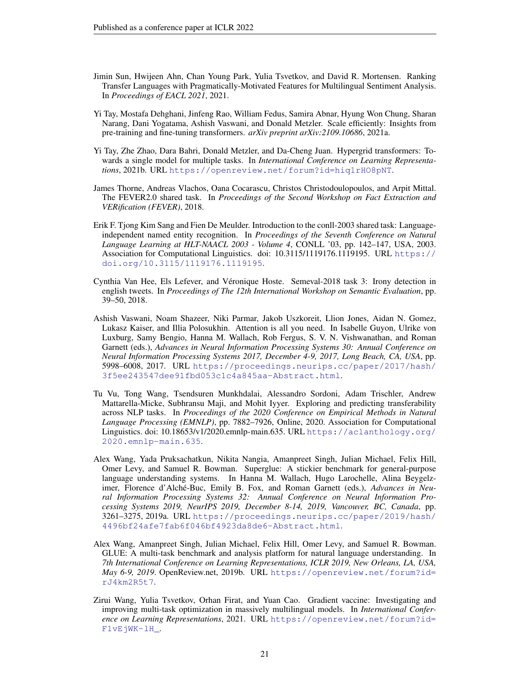- <span id="page-20-4"></span>Jimin Sun, Hwijeen Ahn, Chan Young Park, Yulia Tsvetkov, and David R. Mortensen. Ranking Transfer Languages with Pragmatically-Motivated Features for Multilingual Sentiment Analysis. In *Proceedings of EACL 2021*, 2021.
- <span id="page-20-5"></span>Yi Tay, Mostafa Dehghani, Jinfeng Rao, William Fedus, Samira Abnar, Hyung Won Chung, Sharan Narang, Dani Yogatama, Ashish Vaswani, and Donald Metzler. Scale efficiently: Insights from pre-training and fine-tuning transformers. *arXiv preprint arXiv:2109.10686*, 2021a.
- <span id="page-20-7"></span>Yi Tay, Zhe Zhao, Dara Bahri, Donald Metzler, and Da-Cheng Juan. Hypergrid transformers: Towards a single model for multiple tasks. In *International Conference on Learning Representations*, 2021b. URL <https://openreview.net/forum?id=hiq1rHO8pNT>.
- <span id="page-20-9"></span>James Thorne, Andreas Vlachos, Oana Cocarascu, Christos Christodoulopoulos, and Arpit Mittal. The FEVER2.0 shared task. In *Proceedings of the Second Workshop on Fact Extraction and VERification (FEVER)*, 2018.
- <span id="page-20-3"></span>Erik F. Tjong Kim Sang and Fien De Meulder. Introduction to the conll-2003 shared task: Languageindependent named entity recognition. In *Proceedings of the Seventh Conference on Natural Language Learning at HLT-NAACL 2003 - Volume 4*, CONLL '03, pp. 142–147, USA, 2003. Association for Computational Linguistics. doi: 10.3115/1119176.1119195. URL [https://](https://doi.org/10.3115/1119176.1119195) [doi.org/10.3115/1119176.1119195](https://doi.org/10.3115/1119176.1119195).
- <span id="page-20-10"></span>Cynthia Van Hee, Els Lefever, and Veronique Hoste. Semeval-2018 task 3: Irony detection in ´ english tweets. In *Proceedings of The 12th International Workshop on Semantic Evaluation*, pp. 39–50, 2018.
- <span id="page-20-2"></span>Ashish Vaswani, Noam Shazeer, Niki Parmar, Jakob Uszkoreit, Llion Jones, Aidan N. Gomez, Lukasz Kaiser, and Illia Polosukhin. Attention is all you need. In Isabelle Guyon, Ulrike von Luxburg, Samy Bengio, Hanna M. Wallach, Rob Fergus, S. V. N. Vishwanathan, and Roman Garnett (eds.), *Advances in Neural Information Processing Systems 30: Annual Conference on Neural Information Processing Systems 2017, December 4-9, 2017, Long Beach, CA, USA*, pp. 5998–6008, 2017. URL [https://proceedings.neurips.cc/paper/2017/hash/](https://proceedings.neurips.cc/paper/2017/hash/3f5ee243547dee91fbd053c1c4a845aa-Abstract.html) [3f5ee243547dee91fbd053c1c4a845aa-Abstract.html](https://proceedings.neurips.cc/paper/2017/hash/3f5ee243547dee91fbd053c1c4a845aa-Abstract.html).
- <span id="page-20-0"></span>Tu Vu, Tong Wang, Tsendsuren Munkhdalai, Alessandro Sordoni, Adam Trischler, Andrew Mattarella-Micke, Subhransu Maji, and Mohit Iyyer. Exploring and predicting transferability across NLP tasks. In *Proceedings of the 2020 Conference on Empirical Methods in Natural Language Processing (EMNLP)*, pp. 7882–7926, Online, 2020. Association for Computational Linguistics. doi: 10.18653/v1/2020.emnlp-main.635. URL [https://aclanthology.org/](https://aclanthology.org/2020.emnlp-main.635) [2020.emnlp-main.635](https://aclanthology.org/2020.emnlp-main.635).
- <span id="page-20-1"></span>Alex Wang, Yada Pruksachatkun, Nikita Nangia, Amanpreet Singh, Julian Michael, Felix Hill, Omer Levy, and Samuel R. Bowman. Superglue: A stickier benchmark for general-purpose language understanding systems. In Hanna M. Wallach, Hugo Larochelle, Alina Beygelzimer, Florence d'Alché-Buc, Emily B. Fox, and Roman Garnett (eds.), *Advances in Neural Information Processing Systems 32: Annual Conference on Neural Information Processing Systems 2019, NeurIPS 2019, December 8-14, 2019, Vancouver, BC, Canada*, pp. 3261–3275, 2019a. URL [https://proceedings.neurips.cc/paper/2019/hash/](https://proceedings.neurips.cc/paper/2019/hash/4496bf24afe7fab6f046bf4923da8de6-Abstract.html) [4496bf24afe7fab6f046bf4923da8de6-Abstract.html](https://proceedings.neurips.cc/paper/2019/hash/4496bf24afe7fab6f046bf4923da8de6-Abstract.html).
- <span id="page-20-8"></span>Alex Wang, Amanpreet Singh, Julian Michael, Felix Hill, Omer Levy, and Samuel R. Bowman. GLUE: A multi-task benchmark and analysis platform for natural language understanding. In *7th International Conference on Learning Representations, ICLR 2019, New Orleans, LA, USA, May 6-9, 2019*. OpenReview.net, 2019b. URL [https://openreview.net/forum?id=](https://openreview.net/forum?id=rJ4km2R5t7) [rJ4km2R5t7](https://openreview.net/forum?id=rJ4km2R5t7).
- <span id="page-20-6"></span>Zirui Wang, Yulia Tsvetkov, Orhan Firat, and Yuan Cao. Gradient vaccine: Investigating and improving multi-task optimization in massively multilingual models. In *International Conference on Learning Representations*, 2021. URL [https://openreview.net/forum?id=](https://openreview.net/forum?id=F1vEjWK-lH_) [F1vEjWK-lH\\_](https://openreview.net/forum?id=F1vEjWK-lH_).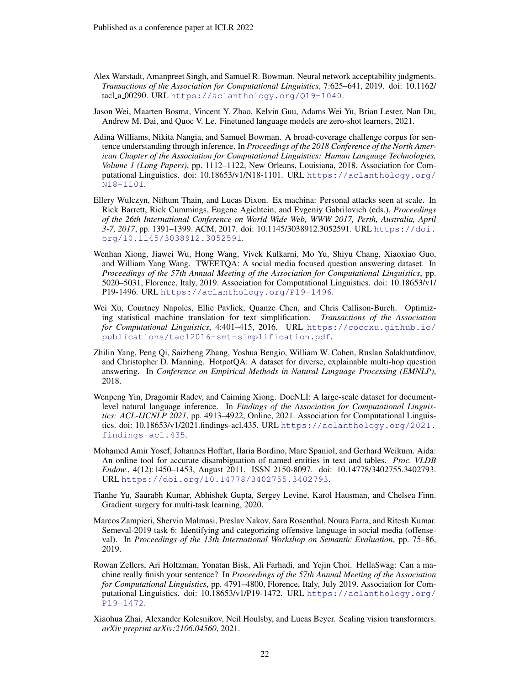- <span id="page-21-6"></span>Alex Warstadt, Amanpreet Singh, and Samuel R. Bowman. Neural network acceptability judgments. *Transactions of the Association for Computational Linguistics*, 7:625–641, 2019. doi: 10.1162/ tacl a 00290. URL <https://aclanthology.org/Q19-1040>.
- <span id="page-21-1"></span>Jason Wei, Maarten Bosma, Vincent Y. Zhao, Kelvin Guu, Adams Wei Yu, Brian Lester, Nan Du, Andrew M. Dai, and Quoc V. Le. Finetuned language models are zero-shot learners, 2021.
- <span id="page-21-7"></span>Adina Williams, Nikita Nangia, and Samuel Bowman. A broad-coverage challenge corpus for sentence understanding through inference. In *Proceedings of the 2018 Conference of the North American Chapter of the Association for Computational Linguistics: Human Language Technologies, Volume 1 (Long Papers)*, pp. 1112–1122, New Orleans, Louisiana, 2018. Association for Computational Linguistics. doi: 10.18653/v1/N18-1101. URL [https://aclanthology.org/](https://aclanthology.org/N18-1101) [N18-1101](https://aclanthology.org/N18-1101).
- <span id="page-21-5"></span>Ellery Wulczyn, Nithum Thain, and Lucas Dixon. Ex machina: Personal attacks seen at scale. In Rick Barrett, Rick Cummings, Eugene Agichtein, and Evgeniy Gabrilovich (eds.), *Proceedings of the 26th International Conference on World Wide Web, WWW 2017, Perth, Australia, April 3-7, 2017*, pp. 1391–1399. ACM, 2017. doi: 10.1145/3038912.3052591. URL [https://doi.](https://doi.org/10.1145/3038912.3052591) [org/10.1145/3038912.3052591](https://doi.org/10.1145/3038912.3052591).
- <span id="page-21-4"></span>Wenhan Xiong, Jiawei Wu, Hong Wang, Vivek Kulkarni, Mo Yu, Shiyu Chang, Xiaoxiao Guo, and William Yang Wang. TWEETQA: A social media focused question answering dataset. In *Proceedings of the 57th Annual Meeting of the Association for Computational Linguistics*, pp. 5020–5031, Florence, Italy, 2019. Association for Computational Linguistics. doi: 10.18653/v1/ P19-1496. URL <https://aclanthology.org/P19-1496>.
- <span id="page-21-11"></span>Wei Xu, Courtney Napoles, Ellie Pavlick, Quanze Chen, and Chris Callison-Burch. Optimizing statistical machine translation for text simplification. *Transactions of the Association for Computational Linguistics*, 4:401–415, 2016. URL [https://cocoxu.github.io/](https://cocoxu.github.io/publications/tacl2016-smt-simplification.pdf) [publications/tacl2016-smt-simplification.pdf](https://cocoxu.github.io/publications/tacl2016-smt-simplification.pdf).
- <span id="page-21-9"></span>Zhilin Yang, Peng Qi, Saizheng Zhang, Yoshua Bengio, William W. Cohen, Ruslan Salakhutdinov, and Christopher D. Manning. HotpotQA: A dataset for diverse, explainable multi-hop question answering. In *Conference on Empirical Methods in Natural Language Processing (EMNLP)*, 2018.
- <span id="page-21-3"></span>Wenpeng Yin, Dragomir Radev, and Caiming Xiong. DocNLI: A large-scale dataset for documentlevel natural language inference. In *Findings of the Association for Computational Linguistics: ACL-IJCNLP 2021*, pp. 4913–4922, Online, 2021. Association for Computational Linguistics. doi: 10.18653/v1/2021.findings-acl.435. URL [https://aclanthology.org/2021.](https://aclanthology.org/2021.findings-acl.435) [findings-acl.435](https://aclanthology.org/2021.findings-acl.435).
- <span id="page-21-8"></span>Mohamed Amir Yosef, Johannes Hoffart, Ilaria Bordino, Marc Spaniol, and Gerhard Weikum. Aida: An online tool for accurate disambiguation of named entities in text and tables. *Proc. VLDB Endow.*, 4(12):1450–1453, August 2011. ISSN 2150-8097. doi: 10.14778/3402755.3402793. URL <https://doi.org/10.14778/3402755.3402793>.
- <span id="page-21-0"></span>Tianhe Yu, Saurabh Kumar, Abhishek Gupta, Sergey Levine, Karol Hausman, and Chelsea Finn. Gradient surgery for multi-task learning, 2020.
- <span id="page-21-12"></span>Marcos Zampieri, Shervin Malmasi, Preslav Nakov, Sara Rosenthal, Noura Farra, and Ritesh Kumar. Semeval-2019 task 6: Identifying and categorizing offensive language in social media (offenseval). In *Proceedings of the 13th International Workshop on Semantic Evaluation*, pp. 75–86, 2019.
- <span id="page-21-10"></span>Rowan Zellers, Ari Holtzman, Yonatan Bisk, Ali Farhadi, and Yejin Choi. HellaSwag: Can a machine really finish your sentence? In *Proceedings of the 57th Annual Meeting of the Association for Computational Linguistics*, pp. 4791–4800, Florence, Italy, July 2019. Association for Computational Linguistics. doi: 10.18653/v1/P19-1472. URL [https://aclanthology.org/](https://aclanthology.org/P19-1472) [P19-1472](https://aclanthology.org/P19-1472).
- <span id="page-21-2"></span>Xiaohua Zhai, Alexander Kolesnikov, Neil Houlsby, and Lucas Beyer. Scaling vision transformers. *arXiv preprint arXiv:2106.04560*, 2021.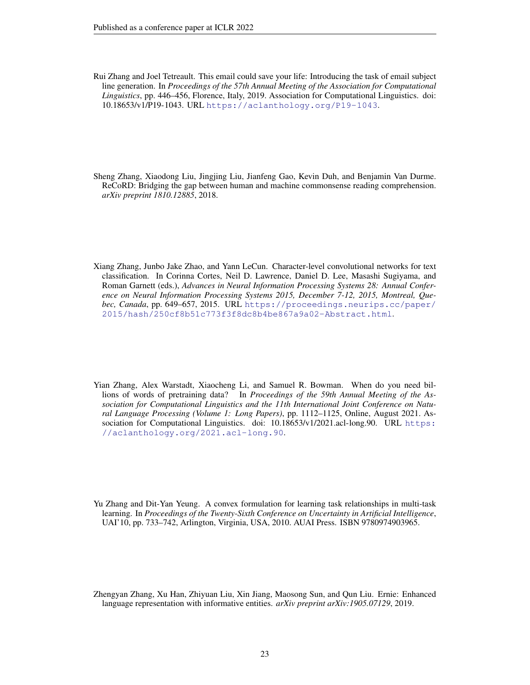<span id="page-22-3"></span>Rui Zhang and Joel Tetreault. This email could save your life: Introducing the task of email subject line generation. In *Proceedings of the 57th Annual Meeting of the Association for Computational Linguistics*, pp. 446–456, Florence, Italy, 2019. Association for Computational Linguistics. doi: 10.18653/v1/P19-1043. URL <https://aclanthology.org/P19-1043>.

<span id="page-22-5"></span>Sheng Zhang, Xiaodong Liu, Jingjing Liu, Jianfeng Gao, Kevin Duh, and Benjamin Van Durme. ReCoRD: Bridging the gap between human and machine commonsense reading comprehension. *arXiv preprint 1810.12885*, 2018.

- <span id="page-22-4"></span>Xiang Zhang, Junbo Jake Zhao, and Yann LeCun. Character-level convolutional networks for text classification. In Corinna Cortes, Neil D. Lawrence, Daniel D. Lee, Masashi Sugiyama, and Roman Garnett (eds.), *Advances in Neural Information Processing Systems 28: Annual Conference on Neural Information Processing Systems 2015, December 7-12, 2015, Montreal, Quebec, Canada*, pp. 649–657, 2015. URL [https://proceedings.neurips.cc/paper/](https://proceedings.neurips.cc/paper/2015/hash/250cf8b51c773f3f8dc8b4be867a9a02-Abstract.html) [2015/hash/250cf8b51c773f3f8dc8b4be867a9a02-Abstract.html](https://proceedings.neurips.cc/paper/2015/hash/250cf8b51c773f3f8dc8b4be867a9a02-Abstract.html).
- <span id="page-22-0"></span>Yian Zhang, Alex Warstadt, Xiaocheng Li, and Samuel R. Bowman. When do you need billions of words of pretraining data? In *Proceedings of the 59th Annual Meeting of the Association for Computational Linguistics and the 11th International Joint Conference on Natural Language Processing (Volume 1: Long Papers)*, pp. 1112–1125, Online, August 2021. Association for Computational Linguistics. doi: 10.18653/v1/2021.acl-long.90. URL [https:](https://aclanthology.org/2021.acl-long.90) [//aclanthology.org/2021.acl-long.90](https://aclanthology.org/2021.acl-long.90).
- <span id="page-22-1"></span>Yu Zhang and Dit-Yan Yeung. A convex formulation for learning task relationships in multi-task learning. In *Proceedings of the Twenty-Sixth Conference on Uncertainty in Artificial Intelligence*, UAI'10, pp. 733–742, Arlington, Virginia, USA, 2010. AUAI Press. ISBN 9780974903965.

<span id="page-22-2"></span>Zhengyan Zhang, Xu Han, Zhiyuan Liu, Xin Jiang, Maosong Sun, and Qun Liu. Ernie: Enhanced language representation with informative entities. *arXiv preprint arXiv:1905.07129*, 2019.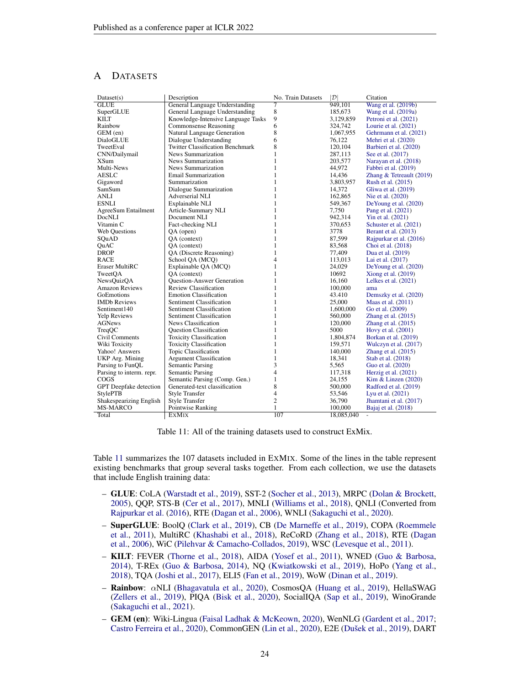# <span id="page-23-0"></span>A DATASETS

<span id="page-23-1"></span>

| Dataset(s)               | Description                             | No. Train Datasets      | $ {\cal D} $ | Citation                              |
|--------------------------|-----------------------------------------|-------------------------|--------------|---------------------------------------|
| <b>GLUE</b>              | General Language Understanding          | 7                       | 949.101      | Wang et al. (2019b)                   |
| SuperGLUE                | General Language Understanding          | 8                       | 185,673      | Wang et al. (2019a)                   |
| <b>KILT</b>              | Knowledge-Intensive Language Tasks      | 9                       | 3,129,859    | Petroni et al. (2021)                 |
| Rainbow                  | Commonsense Reasoning                   | 6                       | 324,742      | Lourie et al. $(2021)$                |
| GEM (en)                 | Natural Language Generation             | 8                       | 1,067,955    | Gehrmann et al. (2021)                |
| DialoGLUE                | Dialogue Understanding                  | 6                       | 76,122       | Mehri et al. (2020)                   |
| TweetEval                | <b>Twitter Classification Benchmark</b> | 8                       | 120,104      | Barbieri et al. (2020)                |
| CNN/Dailymail            | News Summarization                      | $\mathbf{1}$            | 287,113      | See et al. (2017)                     |
| XSum                     | News Summarization                      | $\mathbf{1}$            | 203,577      | Narayan et al. (2018)                 |
| Multi-News               | News Summarization                      | $\mathbf{1}$            | 44,972       | Fabbri et al. (2019)                  |
| <b>AESLC</b>             | <b>Email Summarization</b>              | $\mathbf{1}$            | 14,436       | Zhang $&$ Tetreault (2019)            |
| Gigaword                 | Summarization                           | $\mathbf{1}$            | 3,803,957    | Rush et al. (2015)                    |
| SamSum                   | Dialogue Summarization                  | $\mathbf{1}$            | 14,372       | Gliwa et al. (2019)                   |
| <b>ANLI</b>              | Adverserial NLI                         | $\mathbf{1}$            | 162,865      | Nie et al. (2020)                     |
| <b>ESNLI</b>             | Explainable NLI                         | $\mathbf{1}$            | 549,367      | De Young et al. (2020)                |
| AgreeSum Entailment      | Article-Summary NLI                     | $\mathbf{1}$            | 7,750        | Pang et al. (2021)                    |
| DocNLI                   | Document NLI                            | $\mathbf{1}$            | 942,314      | Yin et al. (2021)                     |
| Vitamin C                | Fact-checking NLI                       | $\mathbf{1}$            | 370,653      | Schuster et al. (2021)                |
| <b>Web Questions</b>     | $QA$ (open)                             | $\mathbf{1}$            | 3778         | Berant et al. (2013)                  |
| SQuAD                    | QA (context)                            | $\mathbf{1}$            | 87,599       | Rajpurkar et al. (2016)               |
| QuAC                     | QA (context)                            | $\mathbf{1}$            | 83,568       | Choi et al. (2018)                    |
| <b>DROP</b>              | QA (Discrete Reasoning)                 | $\mathbf{1}$            | 77,409       | Dua et al. (2019)                     |
| <b>RACE</b>              | School OA (MCO)                         | $\overline{4}$          | 113,013      | Lai et al. (2017)                     |
| Eraser MultiRC           | Explainable QA (MCQ)                    | $\mathbf{1}$            | 24,029       | De Young et al. (2020)                |
| TweetOA                  | OA (context)                            | $\mathbf{1}$            | 10692        | Xiong et al. $(2019)$                 |
| <b>NewsOuizOA</b>        | <b>Ouestion-Answer Generation</b>       | $\mathbf{1}$            | 16,160       | Lelkes et al. (2021)                  |
| <b>Amazon Reviews</b>    | Review Classification                   | $\mathbf{1}$            | 100,000      | ama                                   |
| GoEmotions               | <b>Emotion Classification</b>           | $\mathbf{1}$            | 43.410       | Demszky et al. (2020)                 |
| <b>IMDb</b> Reviews      | Sentiment Classification                | $\mathbf{1}$            | 25,000       | Maas et al. (2011)                    |
| Sentiment140             | Sentiment Classification                | $\mathbf{1}$            | 1,600,000    | Go et al. (2009)                      |
| <b>Yelp Reviews</b>      | Sentiment Classification                | $\mathbf{1}$            | 560,000      | Zhang et al. $(2015)$                 |
| AGNews                   | News Classification                     | $\mathbf{1}$            | 120,000      | Zhang et al. $(2015)$                 |
| TreqQC                   | <b>Ouestion Classification</b>          | $\mathbf{1}$            | 5000         | Hovy et al. (2001)                    |
| Civil Comments           | <b>Toxicity Classification</b>          | $\mathbf{1}$            | 1,804,874    | Borkan et al. (2019)                  |
| Wiki Toxicity            | <b>Toxicity Classification</b>          | $\mathbf{1}$            | 159,571      | Wulczyn et al. (2017)                 |
| Yahoo! Answers           | Topic Classification                    | $\mathbf{1}$            | 140,000      | Zhang et al. $(2015)$                 |
| UKP Arg. Mining          | <b>Argument Classification</b>          | $\mathbf{1}$            | 18,341       | Stab et al. (2018)                    |
| Parsing to FunQL         | Semantic Parsing                        | 3                       | 5,565        | Guo et al. (2020)                     |
| Parsing to interm. repr. | Semantic Parsing                        | $\overline{4}$          | 117,318      | Herzig et al. (2021)                  |
| COGS                     | Semantic Parsing (Comp. Gen.)           | $\mathbf{1}$            | 24,155       | Kim & Linzen $(2020)$                 |
| GPT Deepfake detection   | Generated-text classification           | 8                       | 500,000      | Radford et al. (2019)                 |
| <b>StylePTB</b>          | <b>Style Transfer</b>                   | $\overline{\mathbf{4}}$ | 53,546       | Lyu et al. (2021)                     |
| Shakespearizing English  | <b>Style Transfer</b>                   | 2                       | 36,790       | Jhamtani et al. (2017)                |
| <b>MS-MARCO</b>          | Pointwise Ranking                       | 1                       |              |                                       |
|                          |                                         |                         | 100,000      | Bajaj et al. (2018)<br>$\overline{a}$ |
| Total                    | <b>EXMIX</b>                            | 107                     | 18,085,040   |                                       |

Table 11: All of the training datasets used to construct ExMix.

Table [11](#page-23-1) summarizes the 107 datasets included in EXMIX. Some of the lines in the table represent existing benchmarks that group several tasks together. From each collection, we use the datasets that include English training data:

- GLUE: CoLA [\(Warstadt et al.,](#page-21-6) [2019\)](#page-21-6), SST-2 [\(Socher et al.,](#page-19-10) [2013\)](#page-19-10), MRPC [\(Dolan & Brockett,](#page-13-5) [2005\)](#page-13-5), QQP, STS-B [\(Cer et al.,](#page-12-7) [2017\)](#page-12-7), MNLI [\(Williams et al.,](#page-21-7) [2018\)](#page-21-7), QNLI (Converted from [Rajpurkar et al.](#page-18-8) [\(2016\)](#page-18-8), RTE [\(Dagan et al.,](#page-12-8) [2006\)](#page-12-8), WNLI [\(Sakaguchi et al.,](#page-19-11) [2020\)](#page-19-11).
- SuperGLUE: BoolQ [\(Clark et al.,](#page-12-9) [2019\)](#page-12-9), CB [\(De Marneffe et al.,](#page-12-10) [2019\)](#page-12-10), COPA [\(Roemmele](#page-18-10) [et al.,](#page-18-10) [2011\)](#page-18-10), MultiRC [\(Khashabi et al.,](#page-15-7) [2018\)](#page-15-7), ReCoRD [\(Zhang et al.,](#page-22-5) [2018\)](#page-22-5), RTE [\(Dagan](#page-12-8) [et al.,](#page-12-8) [2006\)](#page-12-8), WiC [\(Pilehvar & Camacho-Collados,](#page-17-9) [2019\)](#page-17-9), WSC [\(Levesque et al.,](#page-16-9) [2011\)](#page-16-9).
- KILT: FEVER [\(Thorne et al.,](#page-20-9) [2018\)](#page-20-9), AIDA [\(Yosef et al.,](#page-21-8) [2011\)](#page-21-8), WNED [\(Guo & Barbosa,](#page-14-10) [2014\)](#page-14-10), T-REx [\(Guo & Barbosa,](#page-14-10) [2014\)](#page-14-10), NQ [\(Kwiatkowski et al.,](#page-15-8) [2019\)](#page-15-8), HoPo [\(Yang et al.,](#page-21-9) [2018\)](#page-21-9), TQA [\(Joshi et al.,](#page-15-9) [2017\)](#page-15-9), ELI5 [\(Fan et al.,](#page-13-6) [2019\)](#page-13-6), WoW [\(Dinan et al.,](#page-13-7) [2019\)](#page-13-7).
- Rainbow: αNLI [\(Bhagavatula et al.,](#page-10-9) [2020\)](#page-10-9), CosmosQA [\(Huang et al.,](#page-14-11) [2019\)](#page-14-11), HellaSWAG [\(Zellers et al.,](#page-21-10) [2019\)](#page-21-10), PIQA [\(Bisk et al.,](#page-11-8) [2020\)](#page-11-8), SocialIQA [\(Sap et al.,](#page-19-12) [2019\)](#page-19-12), WinoGrande [\(Sakaguchi et al.,](#page-19-13) [2021\)](#page-19-13).
- GEM (en): Wiki-Lingua [\(Faisal Ladhak & McKeown,](#page-13-8) [2020\)](#page-13-8), WenNLG [\(Gardent et al.,](#page-13-9) [2017;](#page-13-9) [Castro Ferreira et al.,](#page-11-9) [2020\)](#page-16-10), CommonGEN [\(Lin et al.,](#page-16-10) 2020), E2E (Dušek et al., [2019\)](#page-13-10), DART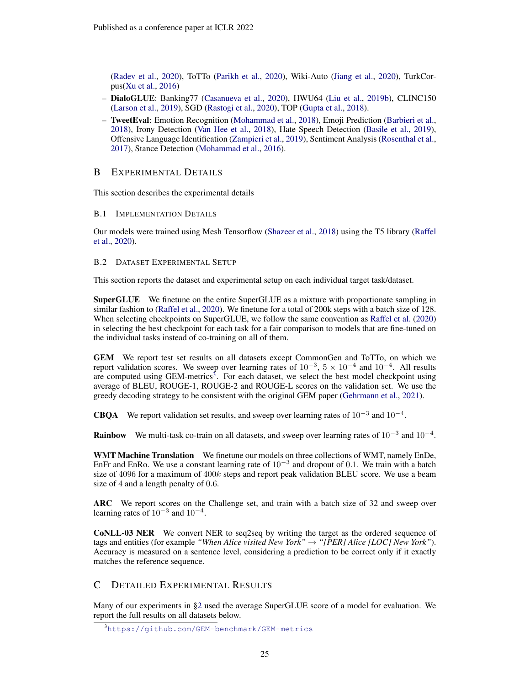[\(Radev et al.,](#page-18-11) [2020\)](#page-18-11), ToTTo [\(Parikh et al.,](#page-17-10) [2020\)](#page-17-10), Wiki-Auto [\(Jiang et al.,](#page-15-10) [2020\)](#page-15-10), TurkCorpus[\(Xu et al.,](#page-21-11) [2016\)](#page-21-11)

- DialoGLUE: Banking77 [\(Casanueva et al.,](#page-11-10) [2020\)](#page-11-10), HWU64 [\(Liu et al.,](#page-16-11) [2019b\)](#page-16-11), CLINC150 [\(Larson et al.,](#page-16-12) [2019\)](#page-16-12), SGD [\(Rastogi et al.,](#page-18-12) [2020\)](#page-18-12), TOP [\(Gupta et al.,](#page-14-12) [2018\)](#page-14-12).
- TweetEval: Emotion Recognition [\(Mohammad et al.,](#page-17-11) [2018\)](#page-17-11), Emoji Prediction [\(Barbieri et al.,](#page-10-10) [2018\)](#page-10-10), Irony Detection [\(Van Hee et al.,](#page-20-10) [2018\)](#page-20-10), Hate Speech Detection [\(Basile et al.,](#page-10-11) [2019\)](#page-10-11), Offensive Language Identification [\(Zampieri et al.,](#page-21-12) [2019\)](#page-21-12), Sentiment Analysis [\(Rosenthal et al.,](#page-18-13) [2017\)](#page-18-13), Stance Detection [\(Mohammad et al.,](#page-17-12) [2016\)](#page-17-12).

# <span id="page-24-0"></span>B EXPERIMENTAL DETAILS

This section describes the experimental details

# B.1 IMPLEMENTATION DETAILS

Our models were trained using Mesh Tensorflow [\(Shazeer et al.,](#page-19-4) [2018\)](#page-19-4) using the T5 library [\(Raffel](#page-18-2) [et al.,](#page-18-2) [2020\)](#page-18-2).

# <span id="page-24-1"></span>B.2 DATASET EXPERIMENTAL SETUP

This section reports the dataset and experimental setup on each individual target task/dataset.

SuperGLUE We finetune on the entire SuperGLUE as a mixture with proportionate sampling in similar fashion to [\(Raffel et al.,](#page-18-2) [2020\)](#page-18-2). We finetune for a total of 200k steps with a batch size of 128. When selecting checkpoints on SuperGLUE, we follow the same convention as [Raffel et al.](#page-18-2) [\(2020\)](#page-18-2) in selecting the best checkpoint for each task for a fair comparison to models that are fine-tuned on the individual tasks instead of co-training on all of them.

GEM We report test set results on all datasets except CommonGen and ToTTo, on which we report validation scores. We sweep over learning rates of  $10^{-3}$ ,  $5 \times 10^{-4}$  and  $10^{-4}$ . All results are computed using  $GEM$ -metrics<sup>[3](#page-24-2)</sup>. For each dataset, we select the best model checkpoint using average of BLEU, ROUGE-1, ROUGE-2 and ROUGE-L scores on the validation set. We use the greedy decoding strategy to be consistent with the original GEM paper [\(Gehrmann et al.,](#page-13-0) [2021\)](#page-13-0).

**CBQA** We report validation set results, and sweep over learning rates of  $10^{-3}$  and  $10^{-4}$ .

**Rainbow** We multi-task co-train on all datasets, and sweep over learning rates of  $10^{-3}$  and  $10^{-4}$ .

WMT Machine Translation We finetune our models on three collections of WMT, namely EnDe, EnFr and EnRo. We use a constant learning rate of  $10^{-3}$  and dropout of 0.1. We train with a batch size of 4096 for a maximum of 400k steps and report peak validation BLEU score. We use a beam size of 4 and a length penalty of 0.6.

ARC We report scores on the Challenge set, and train with a batch size of 32 and sweep over learning rates of  $10^{-3}$  and  $10^{-4}$ .

CoNLL-03 NER We convert NER to seq2seq by writing the target as the ordered sequence of tags and entities (for example *"When Alice visited New York"* → *"[PER] Alice [LOC] New York"*). Accuracy is measured on a sentence level, considering a prediction to be correct only if it exactly matches the reference sequence.

# C DETAILED EXPERIMENTAL RESULTS

Many of our experiments in [§2](#page-1-0) used the average SuperGLUE score of a model for evaluation. We report the full results on all datasets below.

<span id="page-24-2"></span><sup>3</sup><https://github.com/GEM-benchmark/GEM-metrics>